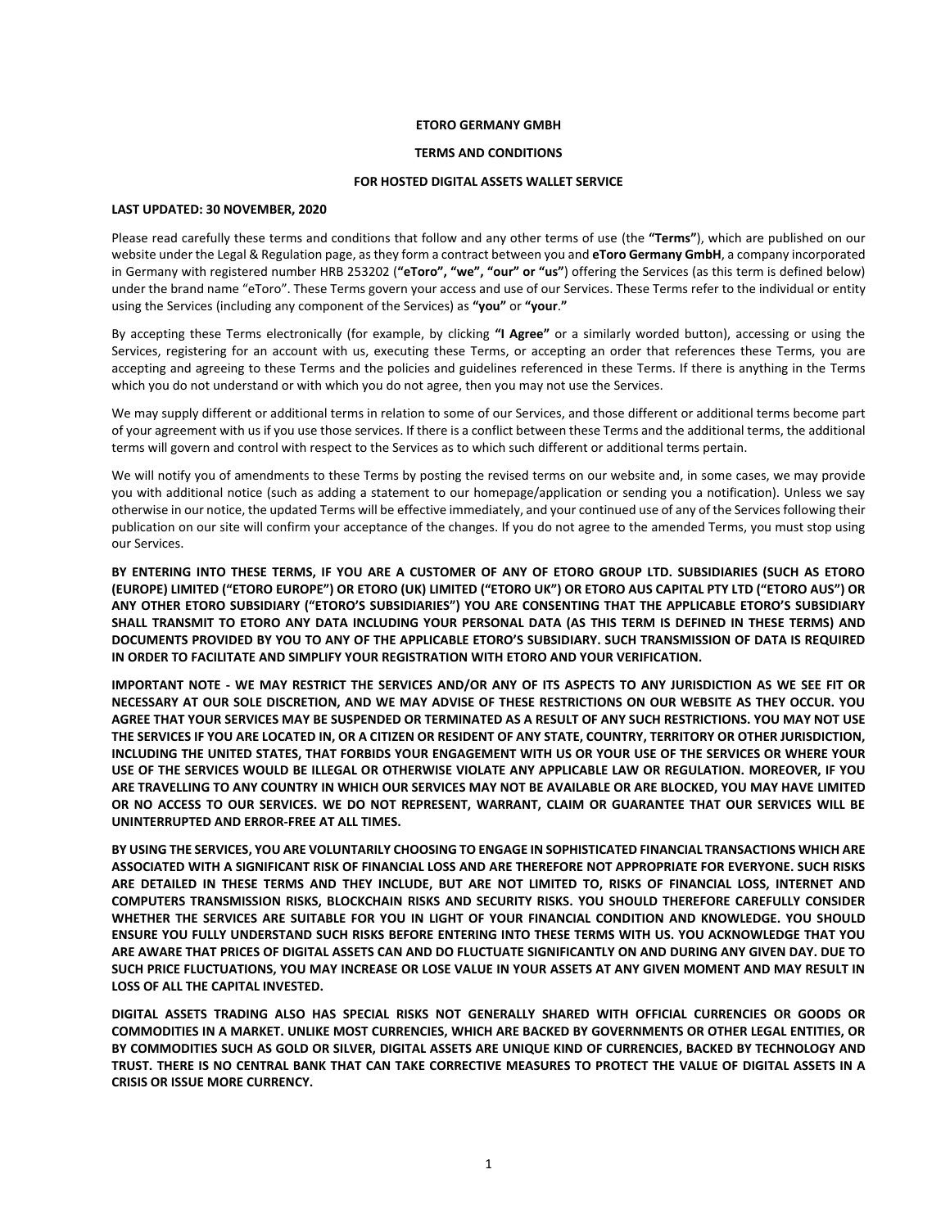#### **ETORO GERMANY GMBH**

#### **TERMS AND CONDITIONS**

## **FOR HOSTED DIGITAL ASSETS WALLET SERVICE**

# **LAST UPDATED: 30 NOVEMBER, 2020**

Please read carefully these terms and conditions that follow and any other terms of use (the **"Terms"**), which are published on our website under the Legal & Regulation page, as they form a contract between you and **eToro Germany GmbH**, a company incorporated in Germany with registered number HRB 253202 (**"eToro", "we", "our" or "us"**) offering the Services (as this term is defined below) under the brand name "eToro". These Terms govern your access and use of our Services. These Terms refer to the individual or entity using the Services (including any component of the Services) as **"you"** or **"your**.**"**

By accepting these Terms electronically (for example, by clicking **"I Agree"** or a similarly worded button), accessing or using the Services, registering for an account with us, executing these Terms, or accepting an order that references these Terms, you are accepting and agreeing to these Terms and the policies and guidelines referenced in these Terms. If there is anything in the Terms which you do not understand or with which you do not agree, then you may not use the Services.

We may supply different or additional terms in relation to some of our Services, and those different or additional terms become part of your agreement with us if you use those services. If there is a conflict between these Terms and the additional terms, the additional terms will govern and control with respect to the Services as to which such different or additional terms pertain.

We will notify you of amendments to these Terms by posting the revised terms on our website and, in some cases, we may provide you with additional notice (such as adding a statement to our homepage/application or sending you a notification). Unless we say otherwise in our notice, the updated Terms will be effective immediately, and your continued use of any of the Services following their publication on our site will confirm your acceptance of the changes. If you do not agree to the amended Terms, you must stop using our Services.

**BY ENTERING INTO THESE TERMS, IF YOU ARE A CUSTOMER OF ANY OF ETORO GROUP LTD. SUBSIDIARIES (SUCH AS ETORO (EUROPE) LIMITED ("ETORO EUROPE") OR ETORO (UK) LIMITED ("ETORO UK") OR ETORO AUS CAPITAL PTY LTD ("ETORO AUS") OR ANY OTHER ETORO SUBSIDIARY ("ETORO'S SUBSIDIARIES") YOU ARE CONSENTING THAT THE APPLICABLE ETORO'S SUBSIDIARY SHALL TRANSMIT TO ETORO ANY DATA INCLUDING YOUR PERSONAL DATA (AS THIS TERM IS DEFINED IN THESE TERMS) AND DOCUMENTS PROVIDED BY YOU TO ANY OF THE APPLICABLE ETORO'S SUBSIDIARY. SUCH TRANSMISSION OF DATA IS REQUIRED IN ORDER TO FACILITATE AND SIMPLIFY YOUR REGISTRATION WITH ETORO AND YOUR VERIFICATION.** 

**IMPORTANT NOTE - WE MAY RESTRICT THE SERVICES AND/OR ANY OF ITS ASPECTS TO ANY JURISDICTION AS WE SEE FIT OR NECESSARY AT OUR SOLE DISCRETION, AND WE MAY ADVISE OF THESE RESTRICTIONS ON OUR WEBSITE AS THEY OCCUR. YOU AGREE THAT YOUR SERVICES MAY BE SUSPENDED OR TERMINATED AS A RESULT OF ANY SUCH RESTRICTIONS. YOU MAY NOT USE THE SERVICES IF YOU ARE LOCATED IN, OR A CITIZEN OR RESIDENT OF ANY STATE, COUNTRY, TERRITORY OR OTHER JURISDICTION, INCLUDING THE UNITED STATES, THAT FORBIDS YOUR ENGAGEMENT WITH US OR YOUR USE OF THE SERVICES OR WHERE YOUR USE OF THE SERVICES WOULD BE ILLEGAL OR OTHERWISE VIOLATE ANY APPLICABLE LAW OR REGULATION. MOREOVER, IF YOU ARE TRAVELLING TO ANY COUNTRY IN WHICH OUR SERVICES MAY NOT BE AVAILABLE OR ARE BLOCKED, YOU MAY HAVE LIMITED OR NO ACCESS TO OUR SERVICES. WE DO NOT REPRESENT, WARRANT, CLAIM OR GUARANTEE THAT OUR SERVICES WILL BE UNINTERRUPTED AND ERROR-FREE AT ALL TIMES.**

**BY USING THE SERVICES, YOU ARE VOLUNTARILY CHOOSING TO ENGAGE IN SOPHISTICATED FINANCIAL TRANSACTIONS WHICH ARE ASSOCIATED WITH A SIGNIFICANT RISK OF FINANCIAL LOSS AND ARE THEREFORE NOT APPROPRIATE FOR EVERYONE. SUCH RISKS ARE DETAILED IN THESE TERMS AND THEY INCLUDE, BUT ARE NOT LIMITED TO, RISKS OF FINANCIAL LOSS, INTERNET AND COMPUTERS TRANSMISSION RISKS, BLOCKCHAIN RISKS AND SECURITY RISKS. YOU SHOULD THEREFORE CAREFULLY CONSIDER WHETHER THE SERVICES ARE SUITABLE FOR YOU IN LIGHT OF YOUR FINANCIAL CONDITION AND KNOWLEDGE. YOU SHOULD ENSURE YOU FULLY UNDERSTAND SUCH RISKS BEFORE ENTERING INTO THESE TERMS WITH US. YOU ACKNOWLEDGE THAT YOU ARE AWARE THAT PRICES OF DIGITAL ASSETS CAN AND DO FLUCTUATE SIGNIFICANTLY ON AND DURING ANY GIVEN DAY. DUE TO SUCH PRICE FLUCTUATIONS, YOU MAY INCREASE OR LOSE VALUE IN YOUR ASSETS AT ANY GIVEN MOMENT AND MAY RESULT IN LOSS OF ALL THE CAPITAL INVESTED.** 

**DIGITAL ASSETS TRADING ALSO HAS SPECIAL RISKS NOT GENERALLY SHARED WITH OFFICIAL CURRENCIES OR GOODS OR COMMODITIES IN A MARKET. UNLIKE MOST CURRENCIES, WHICH ARE BACKED BY GOVERNMENTS OR OTHER LEGAL ENTITIES, OR BY COMMODITIES SUCH AS GOLD OR SILVER, DIGITAL ASSETS ARE UNIQUE KIND OF CURRENCIES, BACKED BY TECHNOLOGY AND TRUST. THERE IS NO CENTRAL BANK THAT CAN TAKE CORRECTIVE MEASURES TO PROTECT THE VALUE OF DIGITAL ASSETS IN A CRISIS OR ISSUE MORE CURRENCY.**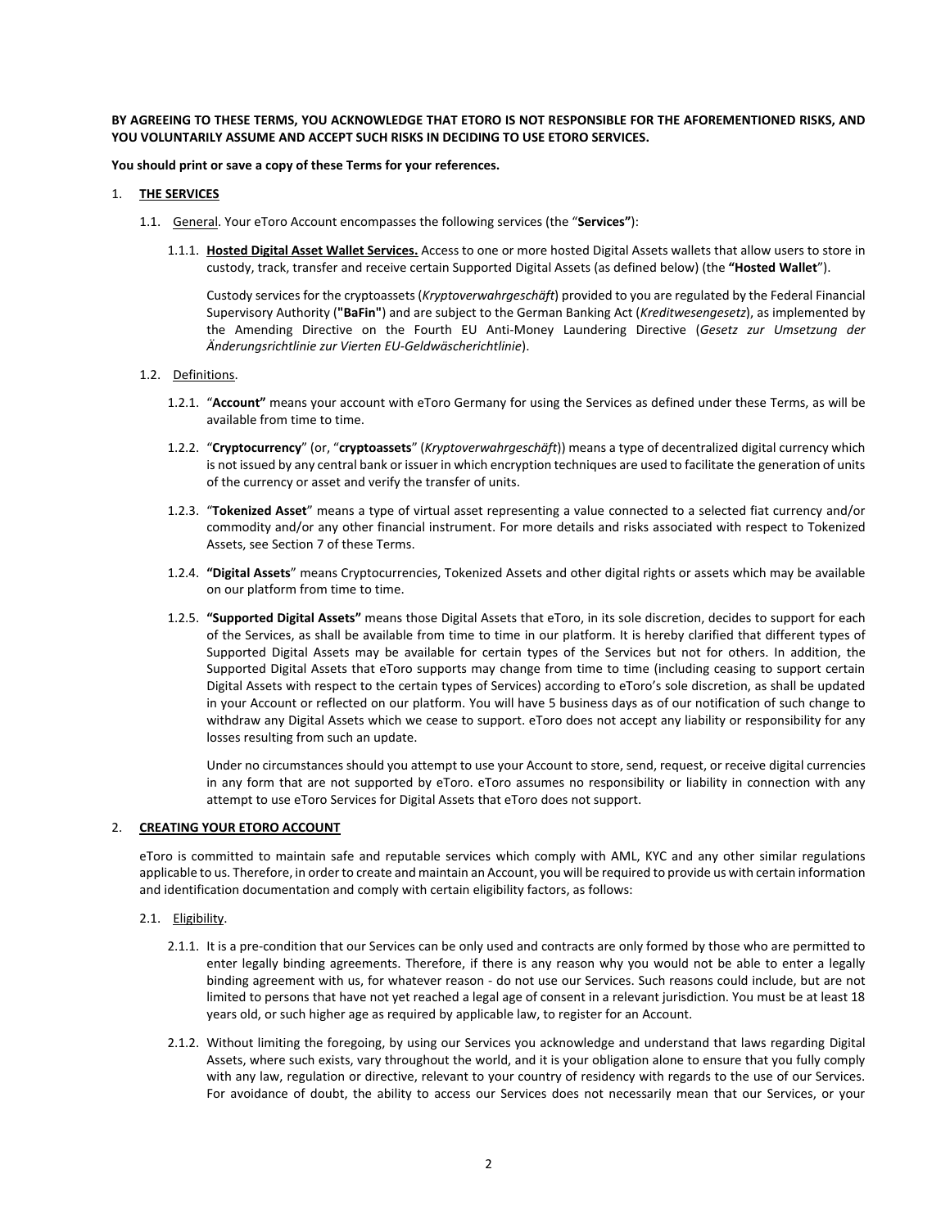# **BY AGREEING TO THESE TERMS, YOU ACKNOWLEDGE THAT ETORO IS NOT RESPONSIBLE FOR THE AFOREMENTIONED RISKS, AND YOU VOLUNTARILY ASSUME AND ACCEPT SUCH RISKS IN DECIDING TO USE ETORO SERVICES.**

## **You should print or save a copy of these Terms for your references.**

## 1. **THE SERVICES**

- 1.1. General. Your eToro Account encompasses the following services (the "**Services"**):
	- 1.1.1. **Hosted Digital Asset Wallet Services.** Access to one or more hosted Digital Assets wallets that allow users to store in custody, track, transfer and receive certain Supported Digital Assets (as defined below) (the **"Hosted Wallet**").

Custody services for the cryptoassets (*Kryptoverwahrgeschäft*) provided to you are regulated by the Federal Financial Supervisory Authority (**"BaFin"**) and are subject to the German Banking Act (*Kreditwesengesetz*), as implemented by the Amending Directive on the Fourth EU Anti-Money Laundering Directive (*Gesetz zur Umsetzung der Änderungsrichtlinie zur Vierten EU-Geldwäscherichtlinie*).

## 1.2. Definitions.

- 1.2.1. "**Account"** means your account with eToro Germany for using the Services as defined under these Terms, as will be available from time to time.
- 1.2.2. "**Cryptocurrency**" (or, "**cryptoassets**" (*Kryptoverwahrgeschäft*)) means a type of decentralized digital currency which is not issued by any central bank or issuer in which encryption techniques are used to facilitate the generation of units of the currency or asset and verify the transfer of units.
- 1.2.3. "**Tokenized Asset**" means a type of virtual asset representing a value connected to a selected fiat currency and/or commodity and/or any other financial instrument. For more details and risks associated with respect to Tokenized Assets, see Sectio[n 7](#page-5-0) of these Terms.
- 1.2.4. **"Digital Assets**" means Cryptocurrencies, Tokenized Assets and other digital rights or assets which may be available on our platform from time to time.
- 1.2.5. **"Supported Digital Assets"** means those Digital Assets that eToro, in its sole discretion, decides to support for each of the Services, as shall be available from time to time in our platform. It is hereby clarified that different types of Supported Digital Assets may be available for certain types of the Services but not for others. In addition, the Supported Digital Assets that eToro supports may change from time to time (including ceasing to support certain Digital Assets with respect to the certain types of Services) according to eToro's sole discretion, as shall be updated in your Account or reflected on our platform. You will have 5 business days as of our notification of such change to withdraw any Digital Assets which we cease to support. eToro does not accept any liability or responsibility for any losses resulting from such an update.

Under no circumstances should you attempt to use your Account to store, send, request, or receive digital currencies in any form that are not supported by eToro. eToro assumes no responsibility or liability in connection with any attempt to use eToro Services for Digital Assets that eToro does not support.

# 2. **CREATING YOUR ETORO ACCOUNT**

eToro is committed to maintain safe and reputable services which comply with AML, KYC and any other similar regulations applicable to us. Therefore, in order to create and maintain an Account, you will be required to provide us with certain information and identification documentation and comply with certain eligibility factors, as follows:

## 2.1. Eligibility.

- 2.1.1. It is a pre-condition that our Services can be only used and contracts are only formed by those who are permitted to enter legally binding agreements. Therefore, if there is any reason why you would not be able to enter a legally binding agreement with us, for whatever reason - do not use our Services. Such reasons could include, but are not limited to persons that have not yet reached a legal age of consent in a relevant jurisdiction. You must be at least 18 years old, or such higher age as required by applicable law, to register for an Account.
- 2.1.2. Without limiting the foregoing, by using our Services you acknowledge and understand that laws regarding Digital Assets, where such exists, vary throughout the world, and it is your obligation alone to ensure that you fully comply with any law, regulation or directive, relevant to your country of residency with regards to the use of our Services. For avoidance of doubt, the ability to access our Services does not necessarily mean that our Services, or your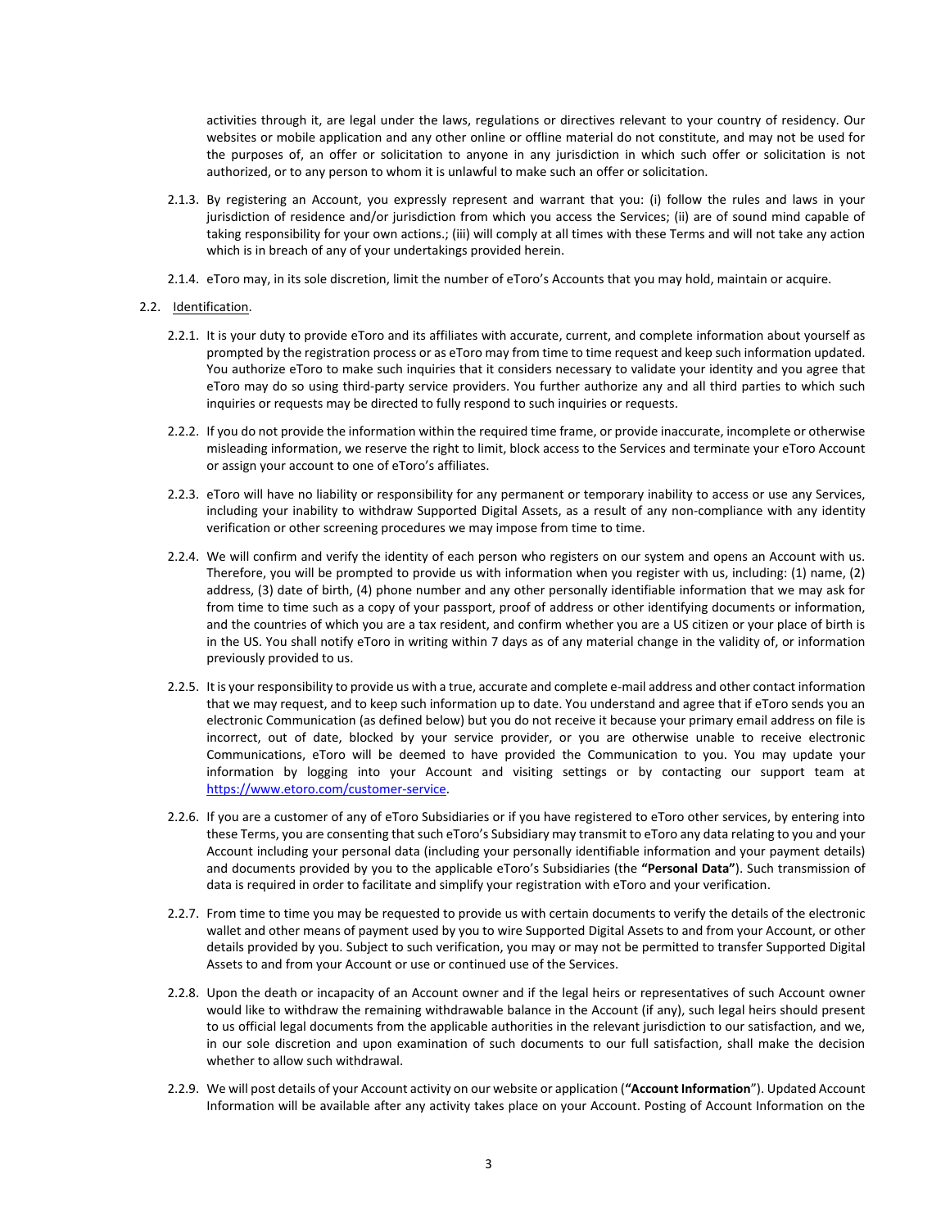activities through it, are legal under the laws, regulations or directives relevant to your country of residency. Our websites or mobile application and any other online or offline material do not constitute, and may not be used for the purposes of, an offer or solicitation to anyone in any jurisdiction in which such offer or solicitation is not authorized, or to any person to whom it is unlawful to make such an offer or solicitation.

- 2.1.3. By registering an Account, you expressly represent and warrant that you: (i) follow the rules and laws in your jurisdiction of residence and/or jurisdiction from which you access the Services; (ii) are of sound mind capable of taking responsibility for your own actions.; (iii) will comply at all times with these Terms and will not take any action which is in breach of any of your undertakings provided herein.
- 2.1.4. eToro may, in its sole discretion, limit the number of eToro's Accounts that you may hold, maintain or acquire.
- 2.2. Identification.
	- 2.2.1. It is your duty to provide eToro and its affiliates with accurate, current, and complete information about yourself as prompted by the registration process or as eToro may from time to time request and keep such information updated. You authorize eToro to make such inquiries that it considers necessary to validate your identity and you agree that eToro may do so using third-party service providers. You further authorize any and all third parties to which such inquiries or requests may be directed to fully respond to such inquiries or requests.
	- 2.2.2. If you do not provide the information within the required time frame, or provide inaccurate, incomplete or otherwise misleading information, we reserve the right to limit, block access to the Services and terminate your eToro Account or assign your account to one of eToro's affiliates.
	- 2.2.3. eToro will have no liability or responsibility for any permanent or temporary inability to access or use any Services, including your inability to withdraw Supported Digital Assets, as a result of any non-compliance with any identity verification or other screening procedures we may impose from time to time.
	- 2.2.4. We will confirm and verify the identity of each person who registers on our system and opens an Account with us. Therefore, you will be prompted to provide us with information when you register with us, including: (1) name, (2) address, (3) date of birth, (4) phone number and any other personally identifiable information that we may ask for from time to time such as a copy of your passport, proof of address or other identifying documents or information, and the countries of which you are a tax resident, and confirm whether you are a US citizen or your place of birth is in the US. You shall notify eToro in writing within 7 days as of any material change in the validity of, or information previously provided to us.
	- 2.2.5. It is your responsibility to provide us with a true, accurate and complete e-mail address and other contact information that we may request, and to keep such information up to date. You understand and agree that if eToro sends you an electronic Communication (as defined below) but you do not receive it because your primary email address on file is incorrect, out of date, blocked by your service provider, or you are otherwise unable to receive electronic Communications, eToro will be deemed to have provided the Communication to you. You may update your information by logging into your Account and visiting settings or by contacting our support team at [https://www.etoro.com/customer-service.](https://www.etoro.com/customer-service)
	- 2.2.6. If you are a customer of any of eToro Subsidiaries or if you have registered to eToro other services, by entering into these Terms, you are consenting that such eToro's Subsidiary may transmit to eToro any data relating to you and your Account including your personal data (including your personally identifiable information and your payment details) and documents provided by you to the applicable eToro's Subsidiaries (the **"Personal Data"**). Such transmission of data is required in order to facilitate and simplify your registration with eToro and your verification.
	- 2.2.7. From time to time you may be requested to provide us with certain documents to verify the details of the electronic wallet and other means of payment used by you to wire Supported Digital Assets to and from your Account, or other details provided by you. Subject to such verification, you may or may not be permitted to transfer Supported Digital Assets to and from your Account or use or continued use of the Services.
	- 2.2.8. Upon the death or incapacity of an Account owner and if the legal heirs or representatives of such Account owner would like to withdraw the remaining withdrawable balance in the Account (if any), such legal heirs should present to us official legal documents from the applicable authorities in the relevant jurisdiction to our satisfaction, and we, in our sole discretion and upon examination of such documents to our full satisfaction, shall make the decision whether to allow such withdrawal.
	- 2.2.9. We will post details of your Account activity on our website or application (**"Account Information**"). Updated Account Information will be available after any activity takes place on your Account. Posting of Account Information on the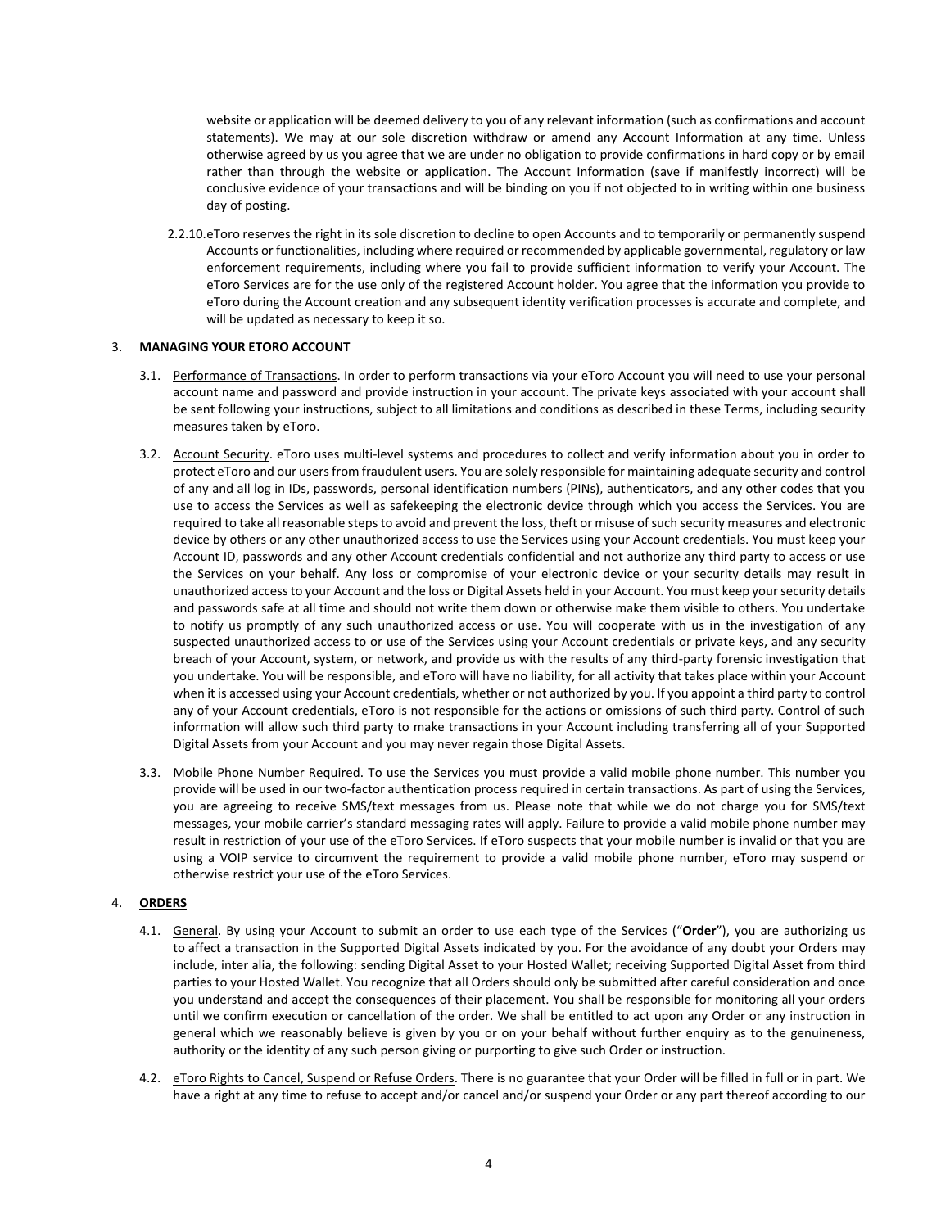website or application will be deemed delivery to you of any relevant information (such as confirmations and account statements). We may at our sole discretion withdraw or amend any Account Information at any time. Unless otherwise agreed by us you agree that we are under no obligation to provide confirmations in hard copy or by email rather than through the website or application. The Account Information (save if manifestly incorrect) will be conclusive evidence of your transactions and will be binding on you if not objected to in writing within one business day of posting.

2.2.10.eToro reserves the right in its sole discretion to decline to open Accounts and to temporarily or permanently suspend Accounts or functionalities, including where required or recommended by applicable governmental, regulatory or law enforcement requirements, including where you fail to provide sufficient information to verify your Account. The eToro Services are for the use only of the registered Account holder. You agree that the information you provide to eToro during the Account creation and any subsequent identity verification processes is accurate and complete, and will be updated as necessary to keep it so.

# 3. **MANAGING YOUR ETORO ACCOUNT**

- 3.1. Performance of Transactions. In order to perform transactions via your eToro Account you will need to use your personal account name and password and provide instruction in your account. The private keys associated with your account shall be sent following your instructions, subject to all limitations and conditions as described in these Terms, including security measures taken by eToro.
- 3.2. Account Security. eToro uses multi-level systems and procedures to collect and verify information about you in order to protect eToro and our users from fraudulent users. You are solely responsible for maintaining adequate security and control of any and all log in IDs, passwords, personal identification numbers (PINs), authenticators, and any other codes that you use to access the Services as well as safekeeping the electronic device through which you access the Services. You are required to take all reasonable steps to avoid and prevent the loss, theft or misuse of such security measures and electronic device by others or any other unauthorized access to use the Services using your Account credentials. You must keep your Account ID, passwords and any other Account credentials confidential and not authorize any third party to access or use the Services on your behalf. Any loss or compromise of your electronic device or your security details may result in unauthorized access to your Account and the loss or Digital Assets held in your Account. You must keep your security details and passwords safe at all time and should not write them down or otherwise make them visible to others. You undertake to notify us promptly of any such unauthorized access or use. You will cooperate with us in the investigation of any suspected unauthorized access to or use of the Services using your Account credentials or private keys, and any security breach of your Account, system, or network, and provide us with the results of any third-party forensic investigation that you undertake. You will be responsible, and eToro will have no liability, for all activity that takes place within your Account when it is accessed using your Account credentials, whether or not authorized by you. If you appoint a third party to control any of your Account credentials, eToro is not responsible for the actions or omissions of such third party. Control of such information will allow such third party to make transactions in your Account including transferring all of your Supported Digital Assets from your Account and you may never regain those Digital Assets.
- 3.3. Mobile Phone Number Required. To use the Services you must provide a valid mobile phone number. This number you provide will be used in our two-factor authentication process required in certain transactions. As part of using the Services, you are agreeing to receive SMS/text messages from us. Please note that while we do not charge you for SMS/text messages, your mobile carrier's standard messaging rates will apply. Failure to provide a valid mobile phone number may result in restriction of your use of the eToro Services. If eToro suspects that your mobile number is invalid or that you are using a VOIP service to circumvent the requirement to provide a valid mobile phone number, eToro may suspend or otherwise restrict your use of the eToro Services.

# 4. **ORDERS**

- 4.1. General. By using your Account to submit an order to use each type of the Services ("**Order**"), you are authorizing us to affect a transaction in the Supported Digital Assets indicated by you. For the avoidance of any doubt your Orders may include, inter alia, the following: sending Digital Asset to your Hosted Wallet; receiving Supported Digital Asset from third parties to your Hosted Wallet. You recognize that all Orders should only be submitted after careful consideration and once you understand and accept the consequences of their placement. You shall be responsible for monitoring all your orders until we confirm execution or cancellation of the order. We shall be entitled to act upon any Order or any instruction in general which we reasonably believe is given by you or on your behalf without further enquiry as to the genuineness, authority or the identity of any such person giving or purporting to give such Order or instruction.
- 4.2. eToro Rights to Cancel, Suspend or Refuse Orders. There is no guarantee that your Order will be filled in full or in part. We have a right at any time to refuse to accept and/or cancel and/or suspend your Order or any part thereof according to our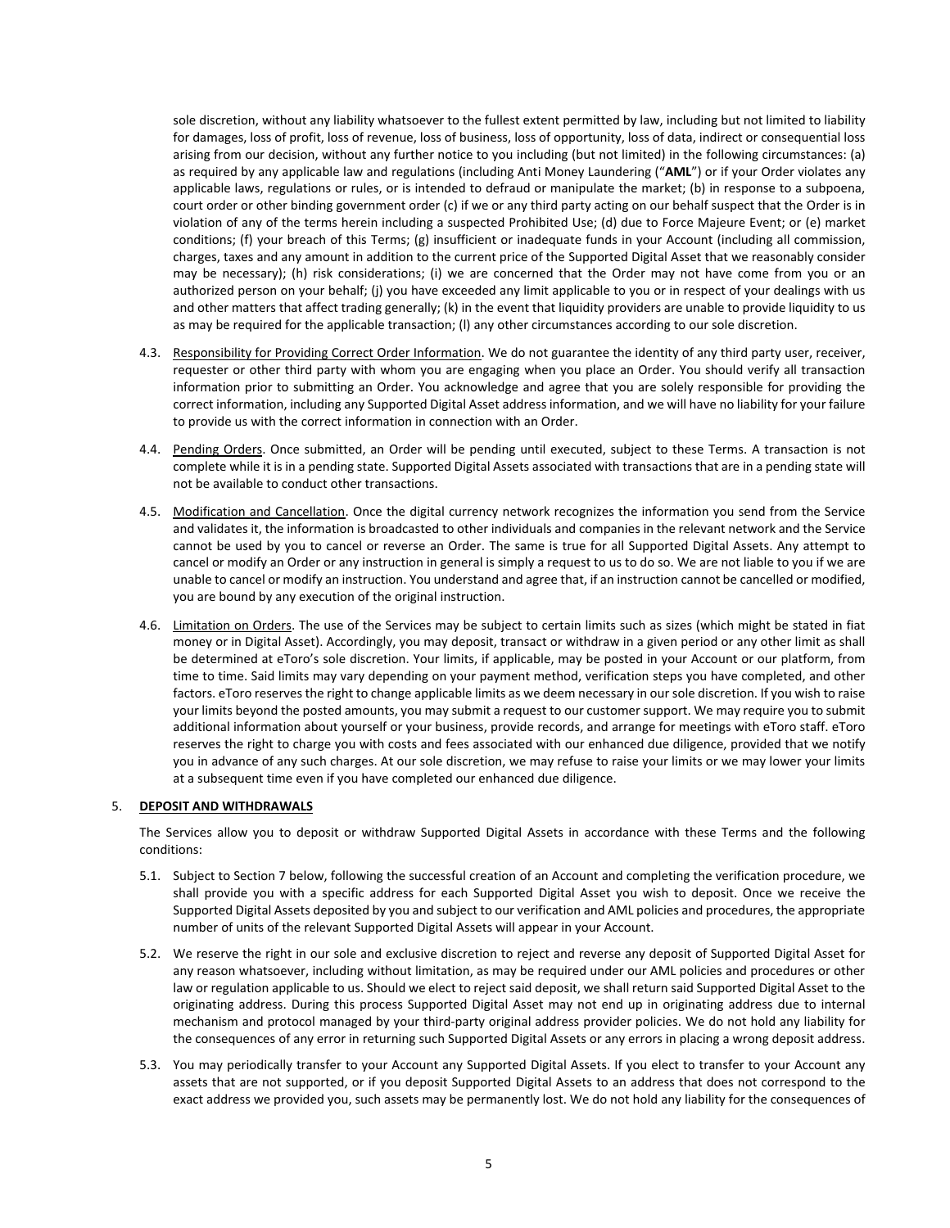sole discretion, without any liability whatsoever to the fullest extent permitted by law, including but not limited to liability for damages, loss of profit, loss of revenue, loss of business, loss of opportunity, loss of data, indirect or consequential loss arising from our decision, without any further notice to you including (but not limited) in the following circumstances: (a) as required by any applicable law and regulations (including Anti Money Laundering ("**AML**") or if your Order violates any applicable laws, regulations or rules, or is intended to defraud or manipulate the market; (b) in response to a subpoena, court order or other binding government order (c) if we or any third party acting on our behalf suspect that the Order is in violation of any of the terms herein including a suspected Prohibited Use; (d) due to Force Majeure Event; or (e) market conditions; (f) your breach of this Terms; (g) insufficient or inadequate funds in your Account (including all commission, charges, taxes and any amount in addition to the current price of the Supported Digital Asset that we reasonably consider may be necessary); (h) risk considerations; (i) we are concerned that the Order may not have come from you or an authorized person on your behalf; (j) you have exceeded any limit applicable to you or in respect of your dealings with us and other matters that affect trading generally; (k) in the event that liquidity providers are unable to provide liquidity to us as may be required for the applicable transaction; (l) any other circumstances according to our sole discretion.

- 4.3. Responsibility for Providing Correct Order Information. We do not guarantee the identity of any third party user, receiver, requester or other third party with whom you are engaging when you place an Order. You should verify all transaction information prior to submitting an Order. You acknowledge and agree that you are solely responsible for providing the correct information, including any Supported Digital Asset address information, and we will have no liability for your failure to provide us with the correct information in connection with an Order.
- 4.4. Pending Orders. Once submitted, an Order will be pending until executed, subject to these Terms. A transaction is not complete while it is in a pending state. Supported Digital Assets associated with transactions that are in a pending state will not be available to conduct other transactions.
- 4.5. Modification and Cancellation. Once the digital currency network recognizes the information you send from the Service and validates it, the information is broadcasted to other individuals and companies in the relevant network and the Service cannot be used by you to cancel or reverse an Order. The same is true for all Supported Digital Assets. Any attempt to cancel or modify an Order or any instruction in general is simply a request to us to do so. We are not liable to you if we are unable to cancel or modify an instruction. You understand and agree that, if an instruction cannot be cancelled or modified, you are bound by any execution of the original instruction.
- 4.6. Limitation on Orders. The use of the Services may be subject to certain limits such as sizes (which might be stated in fiat money or in Digital Asset). Accordingly, you may deposit, transact or withdraw in a given period or any other limit as shall be determined at eToro's sole discretion. Your limits, if applicable, may be posted in your Account or our platform, from time to time. Said limits may vary depending on your payment method, verification steps you have completed, and other factors. eToro reserves the right to change applicable limits as we deem necessary in our sole discretion. If you wish to raise your limits beyond the posted amounts, you may submit a request to our customer support. We may require you to submit additional information about yourself or your business, provide records, and arrange for meetings with eToro staff. eToro reserves the right to charge you with costs and fees associated with our enhanced due diligence, provided that we notify you in advance of any such charges. At our sole discretion, we may refuse to raise your limits or we may lower your limits at a subsequent time even if you have completed our enhanced due diligence.

## 5. **DEPOSIT AND WITHDRAWALS**

The Services allow you to deposit or withdraw Supported Digital Assets in accordance with these Terms and the following conditions:

- 5.1. Subject to Section [7](#page-5-0) below, following the successful creation of an Account and completing the verification procedure, we shall provide you with a specific address for each Supported Digital Asset you wish to deposit. Once we receive the Supported Digital Assets deposited by you and subject to our verification and AML policies and procedures, the appropriate number of units of the relevant Supported Digital Assets will appear in your Account.
- 5.2. We reserve the right in our sole and exclusive discretion to reject and reverse any deposit of Supported Digital Asset for any reason whatsoever, including without limitation, as may be required under our AML policies and procedures or other law or regulation applicable to us. Should we elect to reject said deposit, we shall return said Supported Digital Asset to the originating address. During this process Supported Digital Asset may not end up in originating address due to internal mechanism and protocol managed by your third-party original address provider policies. We do not hold any liability for the consequences of any error in returning such Supported Digital Assets or any errors in placing a wrong deposit address.
- 5.3. You may periodically transfer to your Account any Supported Digital Assets. If you elect to transfer to your Account any assets that are not supported, or if you deposit Supported Digital Assets to an address that does not correspond to the exact address we provided you, such assets may be permanently lost. We do not hold any liability for the consequences of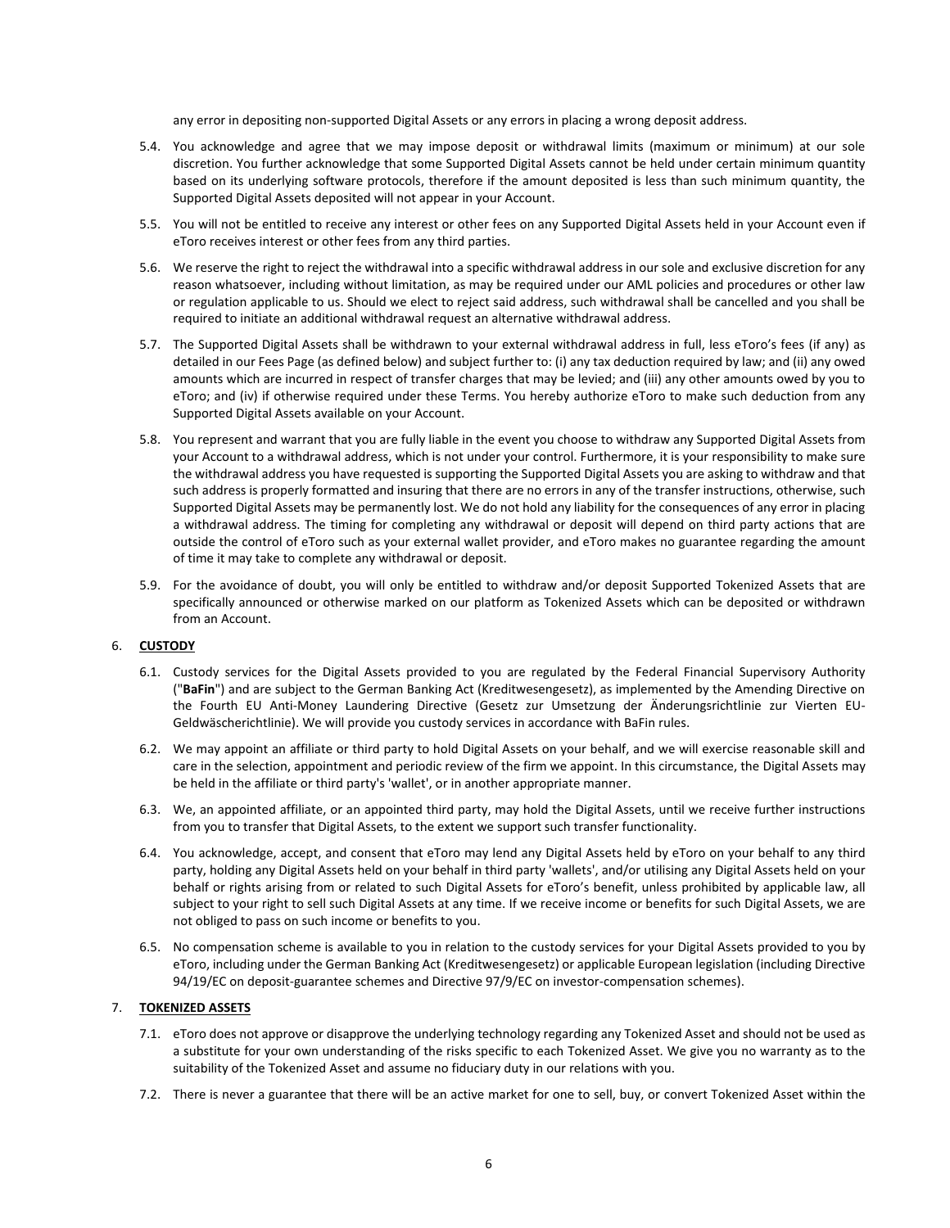any error in depositing non-supported Digital Assets or any errors in placing a wrong deposit address.

- 5.4. You acknowledge and agree that we may impose deposit or withdrawal limits (maximum or minimum) at our sole discretion. You further acknowledge that some Supported Digital Assets cannot be held under certain minimum quantity based on its underlying software protocols, therefore if the amount deposited is less than such minimum quantity, the Supported Digital Assets deposited will not appear in your Account.
- 5.5. You will not be entitled to receive any interest or other fees on any Supported Digital Assets held in your Account even if eToro receives interest or other fees from any third parties.
- 5.6. We reserve the right to reject the withdrawal into a specific withdrawal address in our sole and exclusive discretion for any reason whatsoever, including without limitation, as may be required under our AML policies and procedures or other law or regulation applicable to us. Should we elect to reject said address, such withdrawal shall be cancelled and you shall be required to initiate an additional withdrawal request an alternative withdrawal address.
- 5.7. The Supported Digital Assets shall be withdrawn to your external withdrawal address in full, less eToro's fees (if any) as detailed in our Fees Page (as defined below) and subject further to: (i) any tax deduction required by law; and (ii) any owed amounts which are incurred in respect of transfer charges that may be levied; and (iii) any other amounts owed by you to eToro; and (iv) if otherwise required under these Terms. You hereby authorize eToro to make such deduction from any Supported Digital Assets available on your Account.
- 5.8. You represent and warrant that you are fully liable in the event you choose to withdraw any Supported Digital Assets from your Account to a withdrawal address, which is not under your control. Furthermore, it is your responsibility to make sure the withdrawal address you have requested is supporting the Supported Digital Assets you are asking to withdraw and that such address is properly formatted and insuring that there are no errors in any of the transfer instructions, otherwise, such Supported Digital Assets may be permanently lost. We do not hold any liability for the consequences of any error in placing a withdrawal address. The timing for completing any withdrawal or deposit will depend on third party actions that are outside the control of eToro such as your external wallet provider, and eToro makes no guarantee regarding the amount of time it may take to complete any withdrawal or deposit.
- 5.9. For the avoidance of doubt, you will only be entitled to withdraw and/or deposit Supported Tokenized Assets that are specifically announced or otherwise marked on our platform as Tokenized Assets which can be deposited or withdrawn from an Account.

# 6. **CUSTODY**

- 6.1. Custody services for the Digital Assets provided to you are regulated by the Federal Financial Supervisory Authority ("**BaFin**") and are subject to the German Banking Act (Kreditwesengesetz), as implemented by the Amending Directive on the Fourth EU Anti-Money Laundering Directive (Gesetz zur Umsetzung der Änderungsrichtlinie zur Vierten EU-Geldwäscherichtlinie). We will provide you custody services in accordance with BaFin rules.
- 6.2. We may appoint an affiliate or third party to hold Digital Assets on your behalf, and we will exercise reasonable skill and care in the selection, appointment and periodic review of the firm we appoint. In this circumstance, the Digital Assets may be held in the affiliate or third party's 'wallet', or in another appropriate manner.
- 6.3. We, an appointed affiliate, or an appointed third party, may hold the Digital Assets, until we receive further instructions from you to transfer that Digital Assets, to the extent we support such transfer functionality.
- 6.4. You acknowledge, accept, and consent that eToro may lend any Digital Assets held by eToro on your behalf to any third party, holding any Digital Assets held on your behalf in third party 'wallets', and/or utilising any Digital Assets held on your behalf or rights arising from or related to such Digital Assets for eToro's benefit, unless prohibited by applicable law, all subject to your right to sell such Digital Assets at any time. If we receive income or benefits for such Digital Assets, we are not obliged to pass on such income or benefits to you.
- 6.5. No compensation scheme is available to you in relation to the custody services for your Digital Assets provided to you by eToro, including under the German Banking Act (Kreditwesengesetz) or applicable European legislation (including Directive 94/19/EC on deposit-guarantee schemes and Directive 97/9/EC on investor-compensation schemes).

# <span id="page-5-0"></span>7. **TOKENIZED ASSETS**

- 7.1. eToro does not approve or disapprove the underlying technology regarding any Tokenized Asset and should not be used as a substitute for your own understanding of the risks specific to each Tokenized Asset. We give you no warranty as to the suitability of the Tokenized Asset and assume no fiduciary duty in our relations with you.
- 7.2. There is never a guarantee that there will be an active market for one to sell, buy, or convert Tokenized Asset within the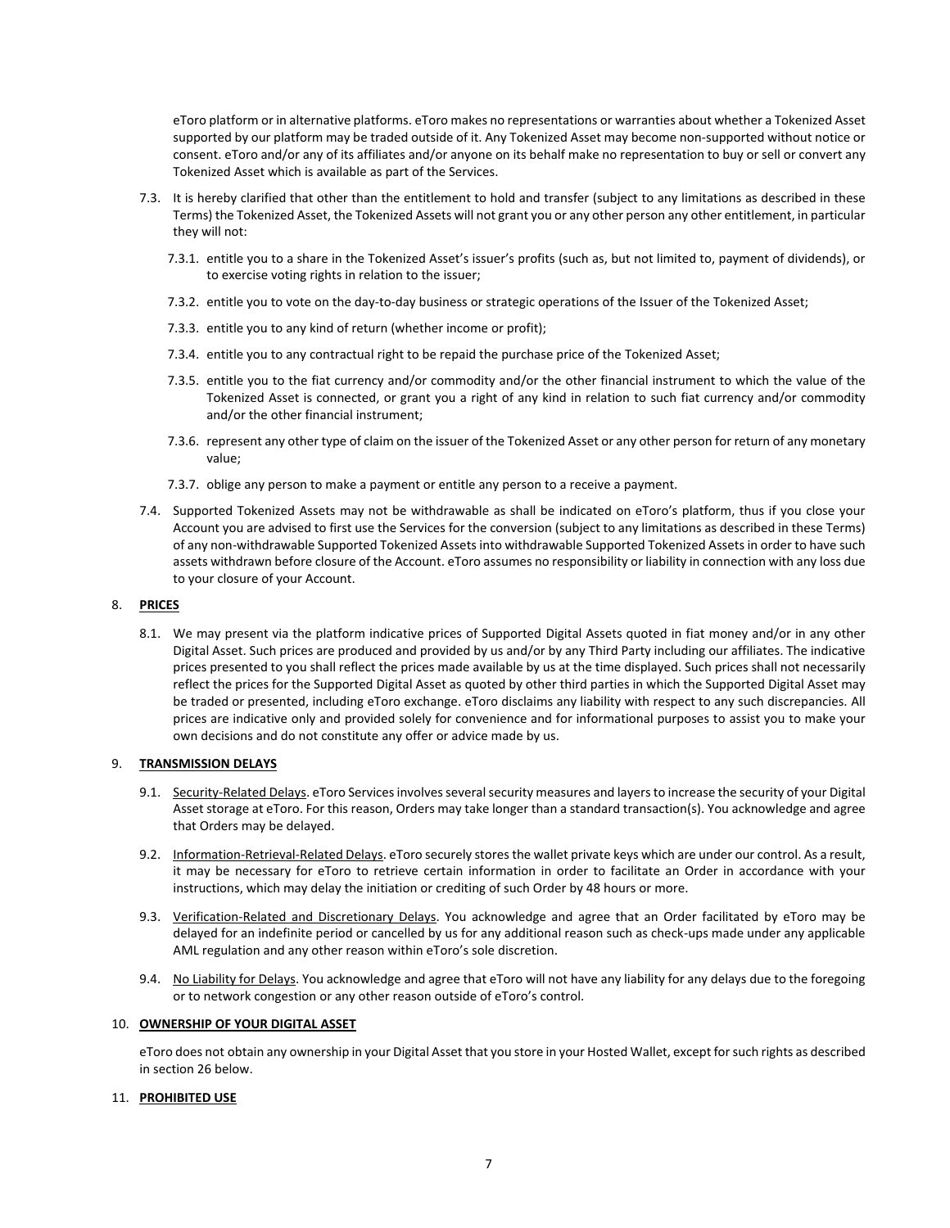eToro platform or in alternative platforms. eToro makes no representations or warranties about whether a Tokenized Asset supported by our platform may be traded outside of it. Any Tokenized Asset may become non-supported without notice or consent. eToro and/or any of its affiliates and/or anyone on its behalf make no representation to buy or sell or convert any Tokenized Asset which is available as part of the Services.

- 7.3. It is hereby clarified that other than the entitlement to hold and transfer (subject to any limitations as described in these Terms) the Tokenized Asset, the Tokenized Assets will not grant you or any other person any other entitlement, in particular they will not:
	- 7.3.1. entitle you to a share in the Tokenized Asset's issuer's profits (such as, but not limited to, payment of dividends), or to exercise voting rights in relation to the issuer;
	- 7.3.2. entitle you to vote on the day-to-day business or strategic operations of the Issuer of the Tokenized Asset;
	- 7.3.3. entitle you to any kind of return (whether income or profit);
	- 7.3.4. entitle you to any contractual right to be repaid the purchase price of the Tokenized Asset;
	- 7.3.5. entitle you to the fiat currency and/or commodity and/or the other financial instrument to which the value of the Tokenized Asset is connected, or grant you a right of any kind in relation to such fiat currency and/or commodity and/or the other financial instrument;
	- 7.3.6. represent any other type of claim on the issuer of the Tokenized Asset or any other person for return of any monetary value;
	- 7.3.7. oblige any person to make a payment or entitle any person to a receive a payment.
- 7.4. Supported Tokenized Assets may not be withdrawable as shall be indicated on eToro's platform, thus if you close your Account you are advised to first use the Services for the conversion (subject to any limitations as described in these Terms) of any non-withdrawable Supported Tokenized Assets into withdrawable Supported Tokenized Assets in order to have such assets withdrawn before closure of the Account. eToro assumes no responsibility or liability in connection with any loss due to your closure of your Account.

# 8. **PRICES**

8.1. We may present via the platform indicative prices of Supported Digital Assets quoted in fiat money and/or in any other Digital Asset. Such prices are produced and provided by us and/or by any Third Party including our affiliates. The indicative prices presented to you shall reflect the prices made available by us at the time displayed. Such prices shall not necessarily reflect the prices for the Supported Digital Asset as quoted by other third parties in which the Supported Digital Asset may be traded or presented, including eToro exchange. eToro disclaims any liability with respect to any such discrepancies. All prices are indicative only and provided solely for convenience and for informational purposes to assist you to make your own decisions and do not constitute any offer or advice made by us.

## 9. **TRANSMISSION DELAYS**

- 9.1. Security-Related Delays. eToro Services involves several security measures and layers to increase the security of your Digital Asset storage at eToro. For this reason, Orders may take longer than a standard transaction(s). You acknowledge and agree that Orders may be delayed.
- 9.2. Information-Retrieval-Related Delays. eToro securely stores the wallet private keys which are under our control. As a result, it may be necessary for eToro to retrieve certain information in order to facilitate an Order in accordance with your instructions, which may delay the initiation or crediting of such Order by 48 hours or more.
- 9.3. Verification-Related and Discretionary Delays. You acknowledge and agree that an Order facilitated by eToro may be delayed for an indefinite period or cancelled by us for any additional reason such as check-ups made under any applicable AML regulation and any other reason within eToro's sole discretion.
- 9.4. No Liability for Delays. You acknowledge and agree that eToro will not have any liability for any delays due to the foregoing or to network congestion or any other reason outside of eToro's control.

#### 10. **OWNERSHIP OF YOUR DIGITAL ASSET**

eToro does not obtain any ownership in your Digital Asset that you store in your Hosted Wallet, except for such rights as described in section 26 below.

# 11. **PROHIBITED USE**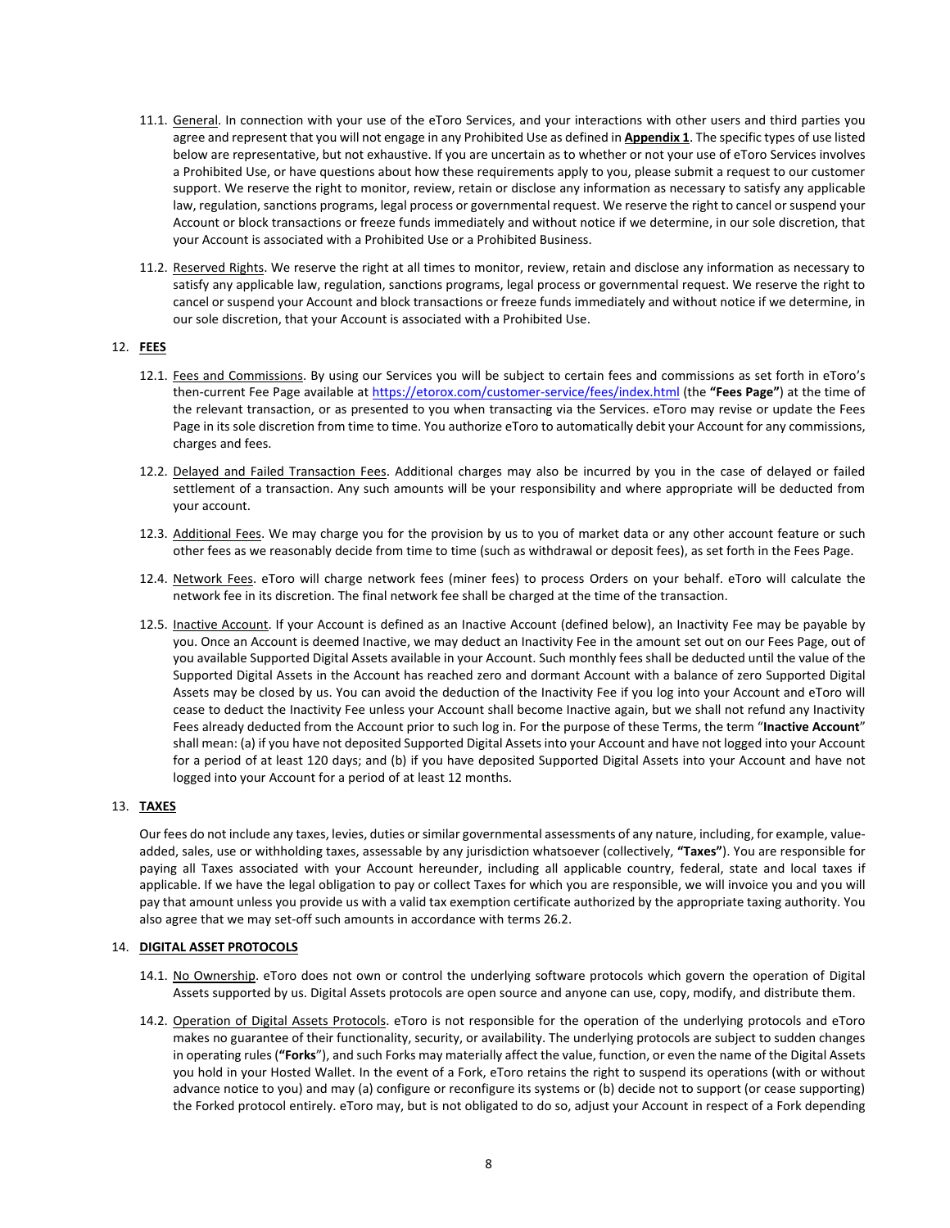- 11.1. General. In connection with your use of the eToro Services, and your interactions with other users and third parties you agree and represent that you will not engage in any [Prohibited Use](https://www.coinbase.com/legal/user_agreement?country=uk#appendix-1:-prohibited-businesses-and-prohibited-use) as defined in **Appendix 1**. The specific types of use listed below are representative, but not exhaustive. If you are uncertain as to whether or not your use of eToro Services involves a Prohibited Use, or have questions about how these requirements apply to you, please submit a request to our customer support. We reserve the right to monitor, review, retain or disclose any information as necessary to satisfy any applicable law, regulation, sanctions programs, legal process or governmental request. We reserve the right to cancel or suspend your Account or block transactions or freeze funds immediately and without notice if we determine, in our sole discretion, that your Account is associated with a Prohibited Use or a Prohibited Business.
- 11.2. Reserved Rights. We reserve the right at all times to monitor, review, retain and disclose any information as necessary to satisfy any applicable law, regulation, sanctions programs, legal process or governmental request. We reserve the right to cancel or suspend your Account and block transactions or freeze funds immediately and without notice if we determine, in our sole discretion, that your Account is associated with a Prohibited Use.

# 12. **FEES**

- 12.1. Fees and Commissions. By using our Services you will be subject to certain fees and commissions as set forth in eToro's then-current Fee Page available at<https://etorox.com/customer-service/fees/index.html> (the **"Fees Page"**) at the time of the relevant transaction, or as presented to you when transacting via the Services. eToro may revise or update the Fees Page in its sole discretion from time to time. You authorize eToro to automatically debit your Account for any commissions, charges and fees.
- 12.2. Delayed and Failed Transaction Fees. Additional charges may also be incurred by you in the case of delayed or failed settlement of a transaction. Any such amounts will be your responsibility and where appropriate will be deducted from your account.
- 12.3. Additional Fees. We may charge you for the provision by us to you of market data or any other account feature or such other fees as we reasonably decide from time to time (such as withdrawal or deposit fees), as set forth in the Fees Page.
- 12.4. Network Fees. eToro will charge network fees (miner fees) to process Orders on your behalf. eToro will calculate the network fee in its discretion. The final network fee shall be charged at the time of the transaction.
- 12.5. Inactive Account. If your Account is defined as an Inactive Account (defined below), an Inactivity Fee may be payable by you. Once an Account is deemed Inactive, we may deduct an Inactivity Fee in the amount set out on our Fees Page, out of you available Supported Digital Assets available in your Account. Such monthly fees shall be deducted until the value of the Supported Digital Assets in the Account has reached zero and dormant Account with a balance of zero Supported Digital Assets may be closed by us. You can avoid the deduction of the Inactivity Fee if you log into your Account and eToro will cease to deduct the Inactivity Fee unless your Account shall become Inactive again, but we shall not refund any Inactivity Fees already deducted from the Account prior to such log in. For the purpose of these Terms, the term "**Inactive Account**" shall mean: (a) if you have not deposited Supported Digital Assets into your Account and have not logged into your Account for a period of at least 120 days; and (b) if you have deposited Supported Digital Assets into your Account and have not logged into your Account for a period of at least 12 months.

## 13. **TAXES**

Our fees do not include any taxes, levies, duties or similar governmental assessments of any nature, including, for example, valueadded, sales, use or withholding taxes, assessable by any jurisdiction whatsoever (collectively, **"Taxes"**). You are responsible for paying all Taxes associated with your Account hereunder, including all applicable country, federal, state and local taxes if applicable. If we have the legal obligation to pay or collect Taxes for which you are responsible, we will invoice you and you will pay that amount unless you provide us with a valid tax exemption certificate authorized by the appropriate taxing authority. You also agree that we may set-off such amounts in accordance with term[s 26.2.](#page-14-0) 

## <span id="page-7-0"></span>14. **DIGITAL ASSET PROTOCOLS**

- 14.1. No Ownership. eToro does not own or control the underlying software protocols which govern the operation of Digital Assets supported by us. Digital Assets protocols are open source and anyone can use, copy, modify, and distribute them.
- 14.2. Operation of Digital Assets Protocols. eToro is not responsible for the operation of the underlying protocols and eToro makes no guarantee of their functionality, security, or availability. The underlying protocols are subject to sudden changes in operating rules (**"Forks**"), and such Forks may materially affect the value, function, or even the name of the Digital Assets you hold in your Hosted Wallet. In the event of a Fork, eToro retains the right to suspend its operations (with or without advance notice to you) and may (a) configure or reconfigure its systems or (b) decide not to support (or cease supporting) the Forked protocol entirely. eToro may, but is not obligated to do so, adjust your Account in respect of a Fork depending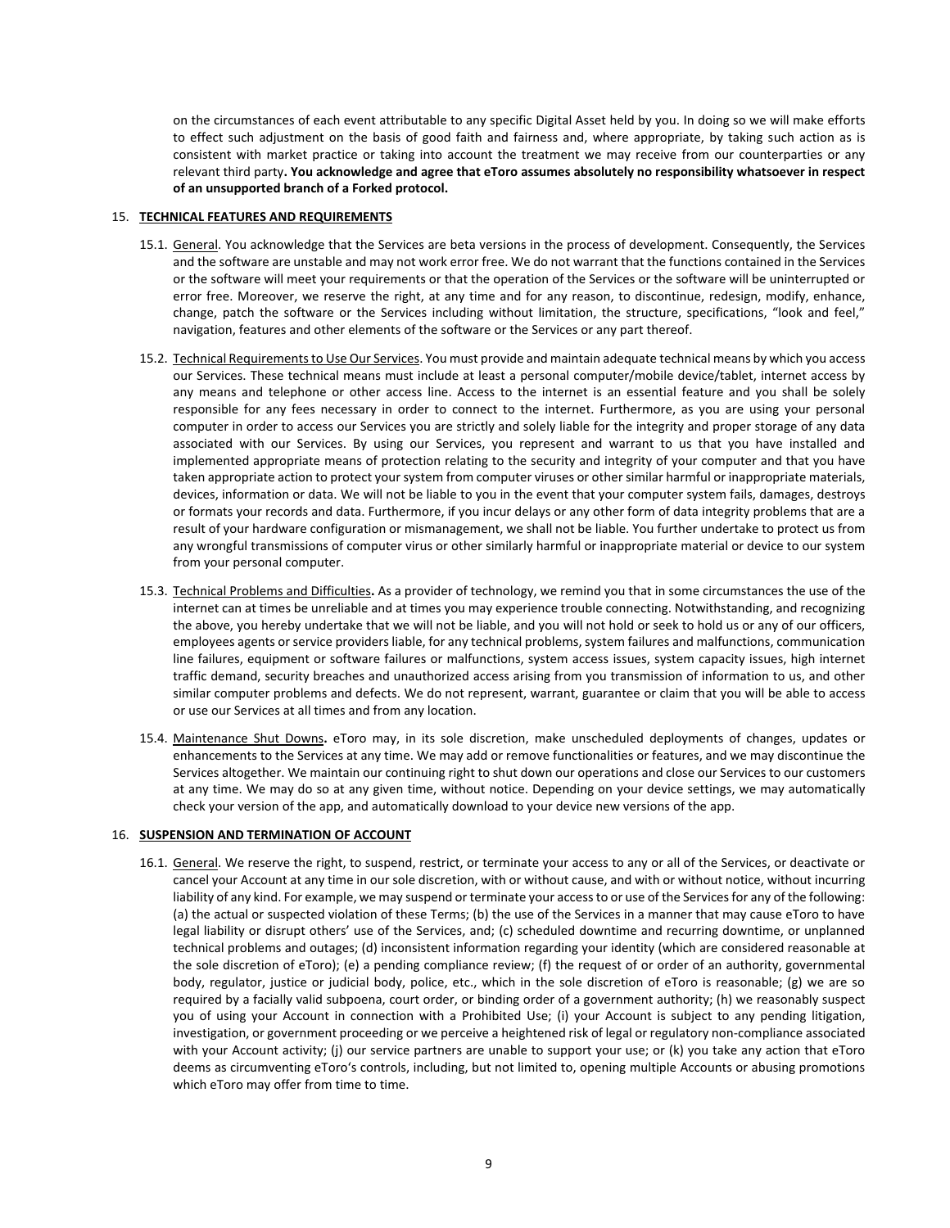on the circumstances of each event attributable to any specific Digital Asset held by you. In doing so we will make efforts to effect such adjustment on the basis of good faith and fairness and, where appropriate, by taking such action as is consistent with market practice or taking into account the treatment we may receive from our counterparties or any relevant third party**. You acknowledge and agree that eToro assumes absolutely no responsibility whatsoever in respect of an unsupported branch of a Forked protocol.**

## 15. **TECHNICAL FEATURES AND REQUIREMENTS**

- 15.1. General. You acknowledge that the Services are beta versions in the process of development. Consequently, the Services and the software are unstable and may not work error free. We do not warrant that the functions contained in the Services or the software will meet your requirements or that the operation of the Services or the software will be uninterrupted or error free. Moreover, we reserve the right, at any time and for any reason, to discontinue, redesign, modify, enhance, change, patch the software or the Services including without limitation, the structure, specifications, "look and feel," navigation, features and other elements of the software or the Services or any part thereof.
- 15.2. Technical Requirements to Use Our Services. You must provide and maintain adequate technical means by which you access our Services. These technical means must include at least a personal computer/mobile device/tablet, internet access by any means and telephone or other access line. Access to the internet is an essential feature and you shall be solely responsible for any fees necessary in order to connect to the internet. Furthermore, as you are using your personal computer in order to access our Services you are strictly and solely liable for the integrity and proper storage of any data associated with our Services. By using our Services, you represent and warrant to us that you have installed and implemented appropriate means of protection relating to the security and integrity of your computer and that you have taken appropriate action to protect your system from computer viruses or other similar harmful or inappropriate materials, devices, information or data. We will not be liable to you in the event that your computer system fails, damages, destroys or formats your records and data. Furthermore, if you incur delays or any other form of data integrity problems that are a result of your hardware configuration or mismanagement, we shall not be liable. You further undertake to protect us from any wrongful transmissions of computer virus or other similarly harmful or inappropriate material or device to our system from your personal computer.
- 15.3. Technical Problems and Difficulties**.** As a provider of technology, we remind you that in some circumstances the use of the internet can at times be unreliable and at times you may experience trouble connecting. Notwithstanding, and recognizing the above, you hereby undertake that we will not be liable, and you will not hold or seek to hold us or any of our officers, employees agents or service providers liable, for any technical problems, system failures and malfunctions, communication line failures, equipment or software failures or malfunctions, system access issues, system capacity issues, high internet traffic demand, security breaches and unauthorized access arising from you transmission of information to us, and other similar computer problems and defects. We do not represent, warrant, guarantee or claim that you will be able to access or use our Services at all times and from any location.
- 15.4. Maintenance Shut Downs**.** eToro may, in its sole discretion, make unscheduled deployments of changes, updates or enhancements to the Services at any time. We may add or remove functionalities or features, and we may discontinue the Services altogether. We maintain our continuing right to shut down our operations and close our Services to our customers at any time. We may do so at any given time, without notice. Depending on your device settings, we may automatically check your version of the app, and automatically download to your device new versions of the app.

## 16. **SUSPENSION AND TERMINATION OF ACCOUNT**

16.1. General. We reserve the right, to suspend, restrict, or terminate your access to any or all of the Services, or deactivate or cancel your Account at any time in our sole discretion, with or without cause, and with or without notice, without incurring liability of any kind. For example, we may suspend or terminate your access to or use of the Services for any of the following: (a) the actual or suspected violation of these Terms; (b) the use of the Services in a manner that may cause eToro to have legal liability or disrupt others' use of the Services, and; (c) scheduled downtime and recurring downtime, or unplanned technical problems and outages; (d) inconsistent information regarding your identity (which are considered reasonable at the sole discretion of eToro); (e) a pending compliance review; (f) the request of or order of an authority, governmental body, regulator, justice or judicial body, police, etc., which in the sole discretion of eToro is reasonable; (g) we are so required by a facially valid subpoena, court order, or binding order of a government authority; (h) we reasonably suspect you of using your Account in connection with a [Prohibited](https://www.coinbase.com/legal/user_agreement?country=uk#appendix-1:-prohibited-businesses-and-prohibited-use) Use; (i) your Account is subject to any pending litigation, investigation, or government proceeding or we perceive a heightened risk of legal or regulatory non-compliance associated with your Account activity; (j) our service partners are unable to support your use; or (k) you take any action that eToro deems as circumventing eToro's controls, including, but not limited to, opening multiple Accounts or abusing promotions which eToro may offer from time to time.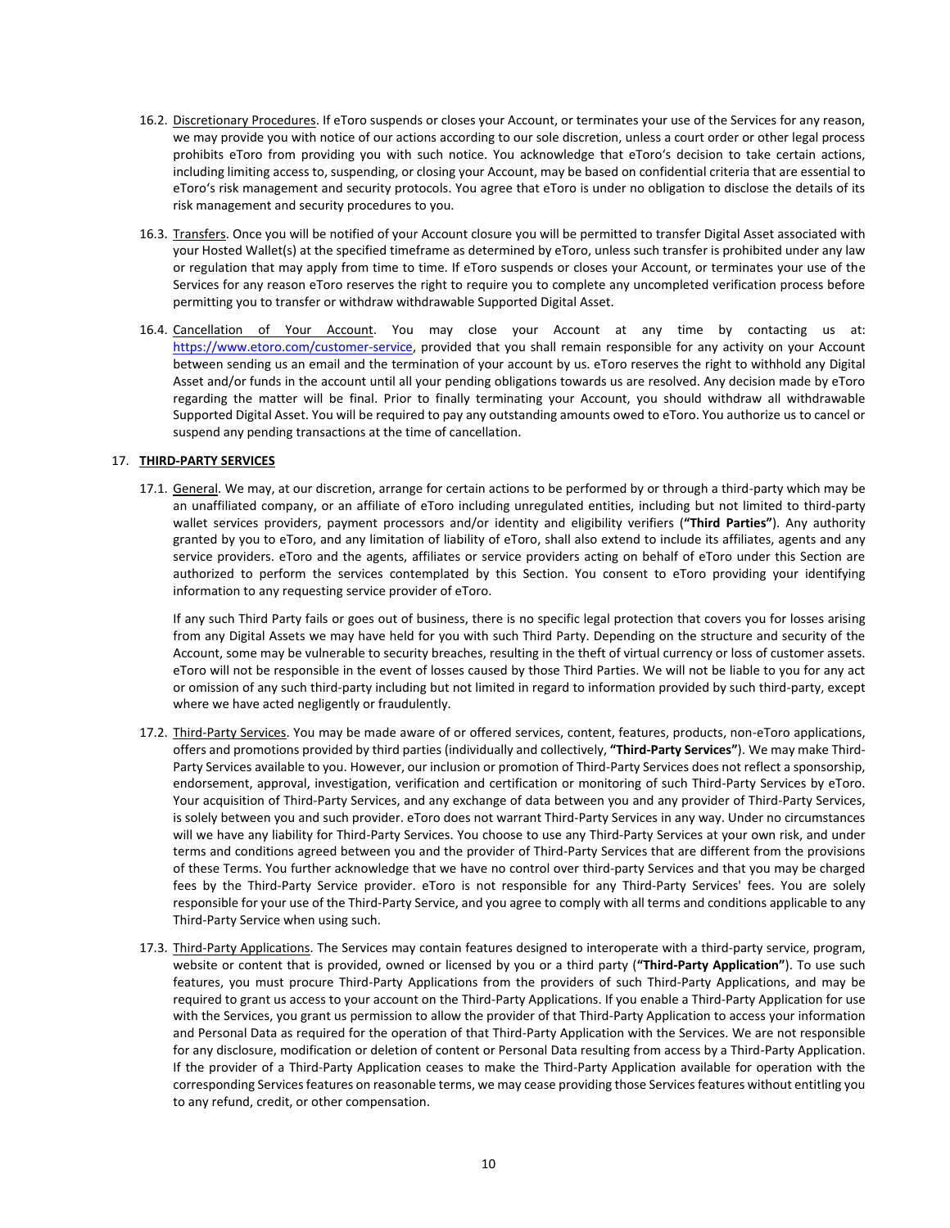- 16.2. Discretionary Procedures. If eToro suspends or closes your Account, or terminates your use of the Services for any reason, we may provide you with notice of our actions according to our sole discretion, unless a court order or other legal process prohibits eToro from providing you with such notice. You acknowledge that eToro's decision to take certain actions, including limiting access to, suspending, or closing your Account, may be based on confidential criteria that are essential to eToro's risk management and security protocols. You agree that eToro is under no obligation to disclose the details of its risk management and security procedures to you.
- 16.3. Transfers. Once you will be notified of your Account closure you will be permitted to transfer Digital Asset associated with your Hosted Wallet(s) at the specified timeframe as determined by eToro, unless such transfer is prohibited under any law or regulation that may apply from time to time. If eToro suspends or closes your Account, or terminates your use of the Services for any reason eToro reserves the right to require you to complete any uncompleted verification process before permitting you to transfer or withdraw withdrawable Supported Digital Asset.
- 16.4. Cancellation of Your Account. You may close your Account at any time by contacting us at: [https://www.etoro.com/customer-service,](https://www.etoro.com/customer-service) provided that you shall remain responsible for any activity on your Account between sending us an email and the termination of your account by us. eToro reserves the right to withhold any Digital Asset and/or funds in the account until all your pending obligations towards us are resolved. Any decision made by eToro regarding the matter will be final. Prior to finally terminating your Account, you should withdraw all withdrawable Supported Digital Asset. You will be required to pay any outstanding amounts owed to eToro. You authorize us to cancel or suspend any pending transactions at the time of cancellation.

# 17. **THIRD-PARTY SERVICES**

17.1. General. We may, at our discretion, arrange for certain actions to be performed by or through a third-party which may be an unaffiliated company, or an affiliate of eToro including unregulated entities, including but not limited to third-party wallet services providers, payment processors and/or identity and eligibility verifiers (**"Third Parties"**). Any authority granted by you to eToro, and any limitation of liability of eToro, shall also extend to include its affiliates, agents and any service providers. eToro and the agents, affiliates or service providers acting on behalf of eToro under this Section are authorized to perform the services contemplated by this Section. You consent to eToro providing your identifying information to any requesting service provider of eToro.

If any such Third Party fails or goes out of business, there is no specific legal protection that covers you for losses arising from any Digital Assets we may have held for you with such Third Party. Depending on the structure and security of the Account, some may be vulnerable to security breaches, resulting in the theft of virtual currency or loss of customer assets. eToro will not be responsible in the event of losses caused by those Third Parties. We will not be liable to you for any act or omission of any such third-party including but not limited in regard to information provided by such third-party, except where we have acted negligently or fraudulently.

- 17.2. Third-Party Services. You may be made aware of or offered services, content, features, products, non-eToro applications, offers and promotions provided by third parties (individually and collectively, **"Third-Party Services"**). We may make Third-Party Services available to you. However, our inclusion or promotion of Third-Party Services does not reflect a sponsorship, endorsement, approval, investigation, verification and certification or monitoring of such Third-Party Services by eToro. Your acquisition of Third-Party Services, and any exchange of data between you and any provider of Third-Party Services, is solely between you and such provider. eToro does not warrant Third-Party Services in any way. Under no circumstances will we have any liability for Third-Party Services. You choose to use any Third-Party Services at your own risk, and under terms and conditions agreed between you and the provider of Third-Party Services that are different from the provisions of these Terms. You further acknowledge that we have no control over third-party Services and that you may be charged fees by the Third-Party Service provider. eToro is not responsible for any Third-Party Services' fees. You are solely responsible for your use of the Third-Party Service, and you agree to comply with all terms and conditions applicable to any Third-Party Service when using such.
- 17.3. Third-Party Applications. The Services may contain features designed to interoperate with a third-party service, program, website or content that is provided, owned or licensed by you or a third party (**"Third-Party Application"**). To use such features, you must procure Third-Party Applications from the providers of such Third-Party Applications, and may be required to grant us access to your account on the Third-Party Applications. If you enable a Third-Party Application for use with the Services, you grant us permission to allow the provider of that Third-Party Application to access your information and Personal Data as required for the operation of that Third-Party Application with the Services. We are not responsible for any disclosure, modification or deletion of content or Personal Data resulting from access by a Third-Party Application. If the provider of a Third-Party Application ceases to make the Third-Party Application available for operation with the corresponding Services features on reasonable terms, we may cease providing those Services features without entitling you to any refund, credit, or other compensation.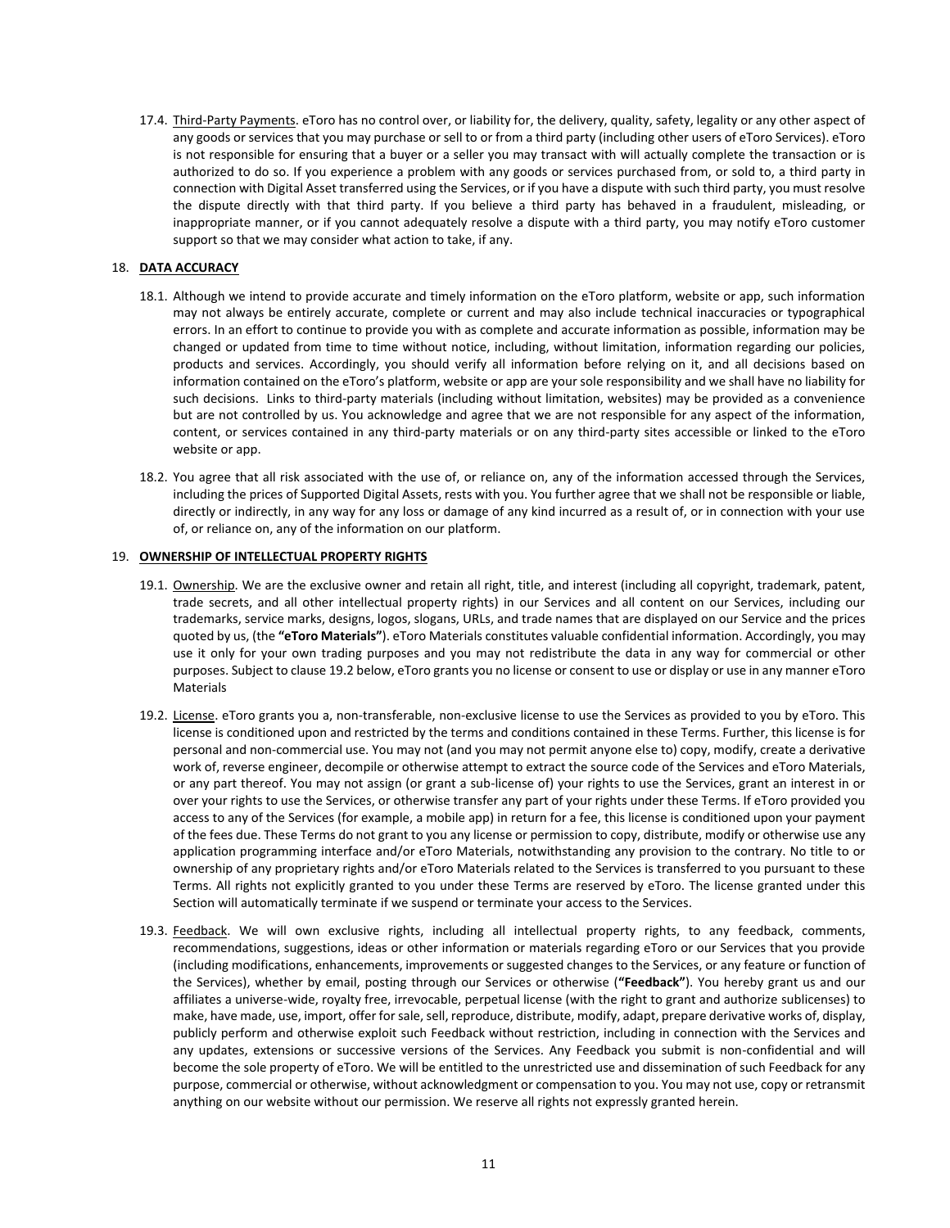17.4. Third-Party Payments. eToro has no control over, or liability for, the delivery, quality, safety, legality or any other aspect of any goods or services that you may purchase or sell to or from a third party (including other users of eToro Services). eToro is not responsible for ensuring that a buyer or a seller you may transact with will actually complete the transaction or is authorized to do so. If you experience a problem with any goods or services purchased from, or sold to, a third party in connection with Digital Asset transferred using the Services, or if you have a dispute with such third party, you must resolve the dispute directly with that third party. If you believe a third party has behaved in a fraudulent, misleading, or inappropriate manner, or if you cannot adequately resolve a dispute with a third party, you may notify eToro customer support so that we may consider what action to take, if any.

# 18. **DATA ACCURACY**

- 18.1. Although we intend to provide accurate and timely information on the eToro platform, website or app, such information may not always be entirely accurate, complete or current and may also include technical inaccuracies or typographical errors. In an effort to continue to provide you with as complete and accurate information as possible, information may be changed or updated from time to time without notice, including, without limitation, information regarding our policies, products and services. Accordingly, you should verify all information before relying on it, and all decisions based on information contained on the eToro's platform, website or app are your sole responsibility and we shall have no liability for such decisions. Links to third-party materials (including without limitation, websites) may be provided as a convenience but are not controlled by us. You acknowledge and agree that we are not responsible for any aspect of the information, content, or services contained in any third-party materials or on any third-party sites accessible or linked to the eToro website or app.
- 18.2. You agree that all risk associated with the use of, or reliance on, any of the information accessed through the Services, including the prices of Supported Digital Assets, rests with you. You further agree that we shall not be responsible or liable, directly or indirectly, in any way for any loss or damage of any kind incurred as a result of, or in connection with your use of, or reliance on, any of the information on our platform.

## 19. **OWNERSHIP OF INTELLECTUAL PROPERTY RIGHTS**

- 19.1. Ownership. We are the exclusive owner and retain all right, title, and interest (including all copyright, trademark, patent, trade secrets, and all other intellectual property rights) in our Services and all content on our Services, including our trademarks, service marks, designs, logos, slogans, URLs, and trade names that are displayed on our Service and the prices quoted by us, (the **"eToro Materials"**). eToro Materials constitutes valuable confidential information. Accordingly, you may use it only for your own trading purposes and you may not redistribute the data in any way for commercial or other purposes. Subject to claus[e 19.2](#page-10-0) below, eToro grants you no license or consent to use or display or use in any manner eToro Materials
- <span id="page-10-0"></span>19.2. License. eToro grants you a, non-transferable, non-exclusive license to use the Services as provided to you by eToro. This license is conditioned upon and restricted by the terms and conditions contained in these Terms. Further, this license is for personal and non-commercial use. You may not (and you may not permit anyone else to) copy, modify, create a derivative work of, reverse engineer, decompile or otherwise attempt to extract the source code of the Services and eToro Materials, or any part thereof. You may not assign (or grant a sub-license of) your rights to use the Services, grant an interest in or over your rights to use the Services, or otherwise transfer any part of your rights under these Terms. If eToro provided you access to any of the Services (for example, a mobile app) in return for a fee, this license is conditioned upon your payment of the fees due. These Terms do not grant to you any license or permission to copy, distribute, modify or otherwise use any application programming interface and/or eToro Materials, notwithstanding any provision to the contrary. No title to or ownership of any proprietary rights and/or eToro Materials related to the Services is transferred to you pursuant to these Terms. All rights not explicitly granted to you under these Terms are reserved by eToro. The license granted under this Section will automatically terminate if we suspend or terminate your access to the Services.
- 19.3. Feedback. We will own exclusive rights, including all intellectual property rights, to any feedback, comments, recommendations, suggestions, ideas or other information or materials regarding eToro or our Services that you provide (including modifications, enhancements, improvements or suggested changes to the Services, or any feature or function of the Services), whether by email, posting through our Services or otherwise (**"Feedback"**). You hereby grant us and our affiliates a universe-wide, royalty free, irrevocable, perpetual license (with the right to grant and authorize sublicenses) to make, have made, use, import, offer for sale, sell, reproduce, distribute, modify, adapt, prepare derivative works of, display, publicly perform and otherwise exploit such Feedback without restriction, including in connection with the Services and any updates, extensions or successive versions of the Services. Any Feedback you submit is non-confidential and will become the sole property of eToro. We will be entitled to the unrestricted use and dissemination of such Feedback for any purpose, commercial or otherwise, without acknowledgment or compensation to you. You may not use, copy or retransmit anything on our website without our permission. We reserve all rights not expressly granted herein.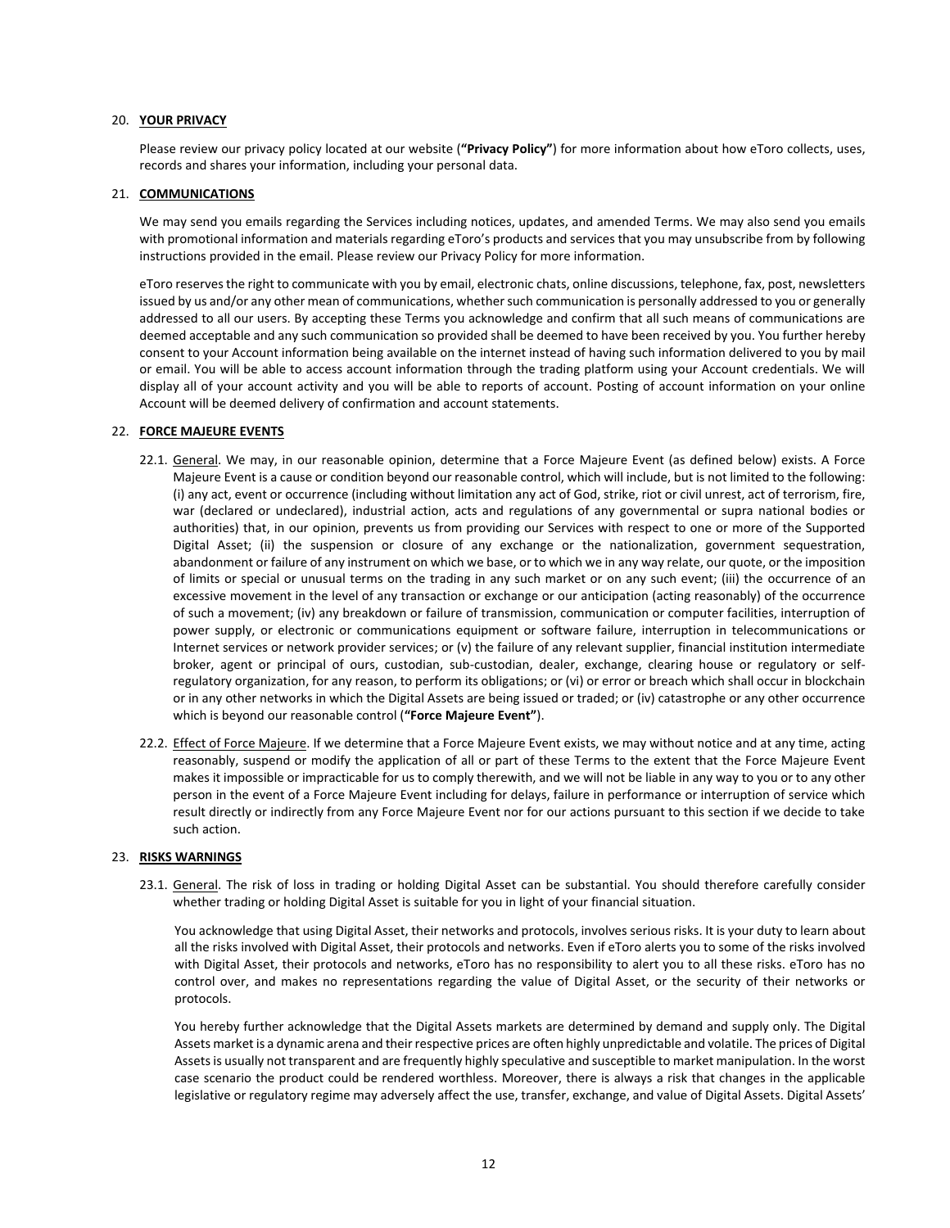## 20. **YOUR PRIVACY**

Please review our privacy policy located at our website (**"Privacy Policy"**) for more information about how eToro collects, uses, records and shares your information, including your personal data.

#### 21. **COMMUNICATIONS**

We may send you emails regarding the Services including notices, updates, and amended Terms. We may also send you emails with promotional information and materials regarding eToro's products and services that you may unsubscribe from by following instructions provided in the email. Please review our Privacy Policy for more information.

eToro reserves the right to communicate with you by email, electronic chats, online discussions, telephone, fax, post, newsletters issued by us and/or any other mean of communications, whether such communication is personally addressed to you or generally addressed to all our users. By accepting these Terms you acknowledge and confirm that all such means of communications are deemed acceptable and any such communication so provided shall be deemed to have been received by you. You further hereby consent to your Account information being available on the internet instead of having such information delivered to you by mail or email. You will be able to access account information through the trading platform using your Account credentials. We will display all of your account activity and you will be able to reports of account. Posting of account information on your online Account will be deemed delivery of confirmation and account statements.

## 22. **FORCE MAJEURE EVENTS**

- 22.1. General. We may, in our reasonable opinion, determine that a Force Majeure Event (as defined below) exists. A Force Majeure Event is a cause or condition beyond our reasonable control, which will include, but is not limited to the following: (i) any act, event or occurrence (including without limitation any act of God, strike, riot or civil unrest, act of terrorism, fire, war (declared or undeclared), industrial action, acts and regulations of any governmental or supra national bodies or authorities) that, in our opinion, prevents us from providing our Services with respect to one or more of the Supported Digital Asset; (ii) the suspension or closure of any exchange or the nationalization, government sequestration, abandonment or failure of any instrument on which we base, or to which we in any way relate, our quote, or the imposition of limits or special or unusual terms on the trading in any such market or on any such event; (iii) the occurrence of an excessive movement in the level of any transaction or exchange or our anticipation (acting reasonably) of the occurrence of such a movement; (iv) any breakdown or failure of transmission, communication or computer facilities, interruption of power supply, or electronic or communications equipment or software failure, interruption in telecommunications or Internet services or network provider services; or (v) the failure of any relevant supplier, financial institution intermediate broker, agent or principal of ours, custodian, sub-custodian, dealer, exchange, clearing house or regulatory or selfregulatory organization, for any reason, to perform its obligations; or (vi) or error or breach which shall occur in blockchain or in any other networks in which the Digital Assets are being issued or traded; or (iv) catastrophe or any other occurrence which is beyond our reasonable control (**"Force Majeure Event"**).
- 22.2. Effect of Force Majeure. If we determine that a Force Majeure Event exists, we may without notice and at any time, acting reasonably, suspend or modify the application of all or part of these Terms to the extent that the Force Majeure Event makes it impossible or impracticable for us to comply therewith, and we will not be liable in any way to you or to any other person in the event of a Force Majeure Event including for delays, failure in performance or interruption of service which result directly or indirectly from any Force Majeure Event nor for our actions pursuant to this section if we decide to take such action.

## <span id="page-11-0"></span>23. **RISKS WARNINGS**

23.1. General. The risk of loss in trading or holding Digital Asset can be substantial. You should therefore carefully consider whether trading or holding Digital Asset is suitable for you in light of your financial situation.

You acknowledge that using Digital Asset, their networks and protocols, involves serious risks. It is your duty to learn about all the risks involved with Digital Asset, their protocols and networks. Even if eToro alerts you to some of the risks involved with Digital Asset, their protocols and networks, eToro has no responsibility to alert you to all these risks. eToro has no control over, and makes no representations regarding the value of Digital Asset, or the security of their networks or protocols.

You hereby further acknowledge that the Digital Assets markets are determined by demand and supply only. The Digital Assets market is a dynamic arena and their respective prices are often highly unpredictable and volatile. The prices of Digital Assets is usually not transparent and are frequently highly speculative and susceptible to market manipulation. In the worst case scenario the product could be rendered worthless. Moreover, there is always a risk that changes in the applicable legislative or regulatory regime may adversely affect the use, transfer, exchange, and value of Digital Assets. Digital Assets'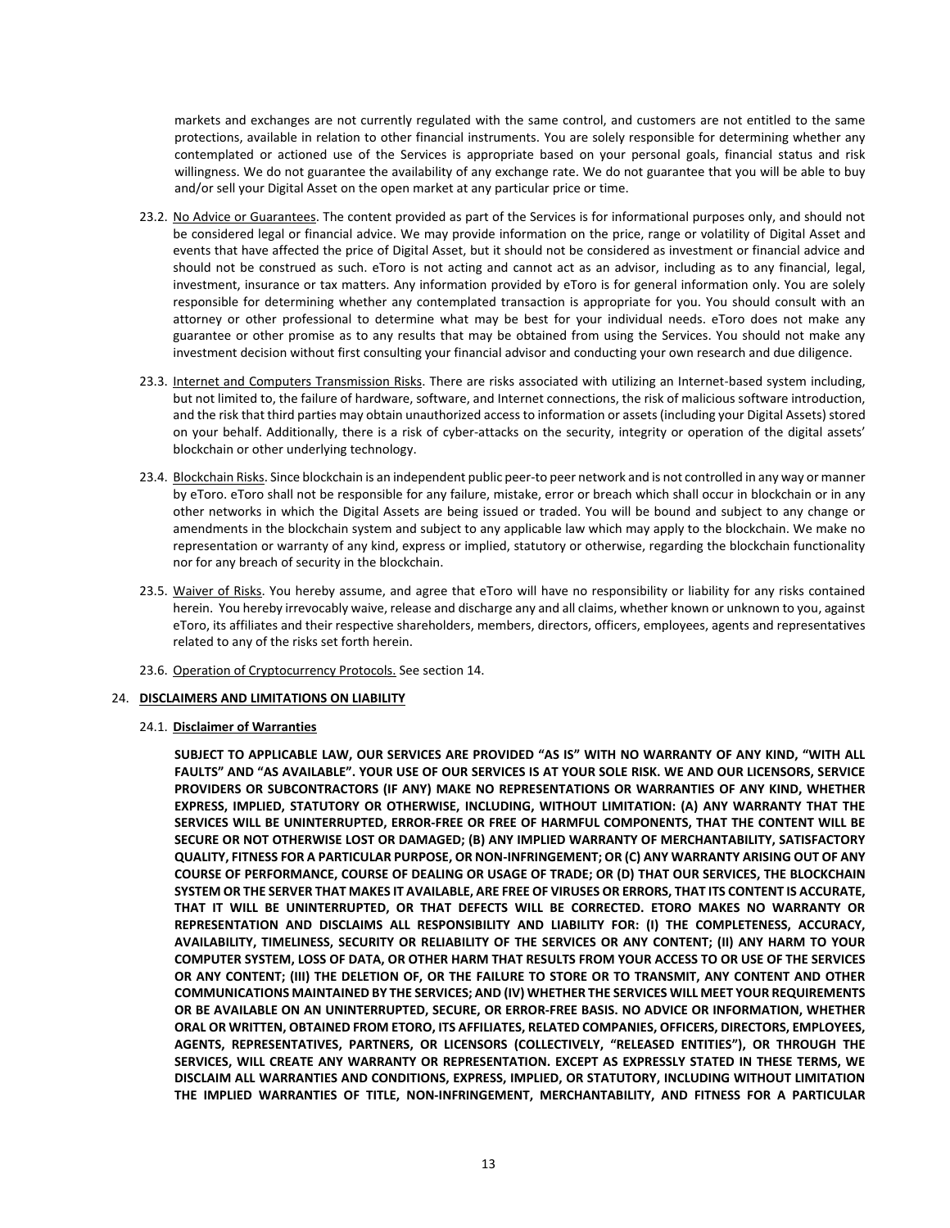markets and exchanges are not currently regulated with the same control, and customers are not entitled to the same protections, available in relation to other financial instruments. You are solely responsible for determining whether any contemplated or actioned use of the Services is appropriate based on your personal goals, financial status and risk willingness. We do not guarantee the availability of any exchange rate. We do not guarantee that you will be able to buy and/or sell your Digital Asset on the open market at any particular price or time.

- 23.2. No Advice or Guarantees. The content provided as part of the Services is for informational purposes only, and should not be considered legal or financial advice. We may provide information on the price, range or volatility of Digital Asset and events that have affected the price of Digital Asset, but it should not be considered as investment or financial advice and should not be construed as such. eToro is not acting and cannot act as an advisor, including as to any financial, legal, investment, insurance or tax matters. Any information provided by eToro is for general information only. You are solely responsible for determining whether any contemplated transaction is appropriate for you. You should consult with an attorney or other professional to determine what may be best for your individual needs. eToro does not make any guarantee or other promise as to any results that may be obtained from using the Services. You should not make any investment decision without first consulting your financial advisor and conducting your own research and due diligence.
- 23.3. Internet and Computers Transmission Risks. There are risks associated with utilizing an Internet-based system including, but not limited to, the failure of hardware, software, and Internet connections, the risk of malicious software introduction, and the risk that third parties may obtain unauthorized access to information or assets (including your Digital Assets) stored on your behalf. Additionally, there is a risk of cyber-attacks on the security, integrity or operation of the digital assets' blockchain or other underlying technology.
- 23.4. Blockchain Risks. Since blockchain is an independent public peer-to peer network and is not controlled in any way or manner by eToro. eToro shall not be responsible for any failure, mistake, error or breach which shall occur in blockchain or in any other networks in which the Digital Assets are being issued or traded. You will be bound and subject to any change or amendments in the blockchain system and subject to any applicable law which may apply to the blockchain. We make no representation or warranty of any kind, express or implied, statutory or otherwise, regarding the blockchain functionality nor for any breach of security in the blockchain.
- 23.5. Waiver of Risks. You hereby assume, and agree that eToro will have no responsibility or liability for any risks contained herein. You hereby irrevocably waive, release and discharge any and all claims, whether known or unknown to you, against eToro, its affiliates and their respective shareholders, members, directors, officers, employees, agents and representatives related to any of the risks set forth herein.
- 23.6. Operation of Cryptocurrency Protocols. See section [14.](#page-7-0)

# 24. **DISCLAIMERS AND LIMITATIONS ON LIABILITY**

24.1. **Disclaimer of Warranties**

**SUBJECT TO APPLICABLE LAW, OUR SERVICES ARE PROVIDED "AS IS" WITH NO WARRANTY OF ANY KIND, "WITH ALL FAULTS" AND "AS AVAILABLE". YOUR USE OF OUR SERVICES IS AT YOUR SOLE RISK. WE AND OUR LICENSORS, SERVICE PROVIDERS OR SUBCONTRACTORS (IF ANY) MAKE NO REPRESENTATIONS OR WARRANTIES OF ANY KIND, WHETHER EXPRESS, IMPLIED, STATUTORY OR OTHERWISE, INCLUDING, WITHOUT LIMITATION: (A) ANY WARRANTY THAT THE SERVICES WILL BE UNINTERRUPTED, ERROR-FREE OR FREE OF HARMFUL COMPONENTS, THAT THE CONTENT WILL BE SECURE OR NOT OTHERWISE LOST OR DAMAGED; (B) ANY IMPLIED WARRANTY OF MERCHANTABILITY, SATISFACTORY QUALITY, FITNESS FOR A PARTICULAR PURPOSE, OR NON-INFRINGEMENT; OR (C) ANY WARRANTY ARISING OUT OF ANY COURSE OF PERFORMANCE, COURSE OF DEALING OR USAGE OF TRADE; OR (D) THAT OUR SERVICES, THE BLOCKCHAIN SYSTEM OR THE SERVER THAT MAKES IT AVAILABLE, ARE FREE OF VIRUSES OR ERRORS, THAT ITS CONTENT IS ACCURATE, THAT IT WILL BE UNINTERRUPTED, OR THAT DEFECTS WILL BE CORRECTED. ETORO MAKES NO WARRANTY OR REPRESENTATION AND DISCLAIMS ALL RESPONSIBILITY AND LIABILITY FOR: (I) THE COMPLETENESS, ACCURACY, AVAILABILITY, TIMELINESS, SECURITY OR RELIABILITY OF THE SERVICES OR ANY CONTENT; (II) ANY HARM TO YOUR COMPUTER SYSTEM, LOSS OF DATA, OR OTHER HARM THAT RESULTS FROM YOUR ACCESS TO OR USE OF THE SERVICES OR ANY CONTENT; (III) THE DELETION OF, OR THE FAILURE TO STORE OR TO TRANSMIT, ANY CONTENT AND OTHER COMMUNICATIONS MAINTAINED BY THE SERVICES; AND (IV) WHETHER THE SERVICES WILL MEET YOUR REQUIREMENTS OR BE AVAILABLE ON AN UNINTERRUPTED, SECURE, OR ERROR-FREE BASIS. NO ADVICE OR INFORMATION, WHETHER ORAL OR WRITTEN, OBTAINED FROM ETORO, ITS AFFILIATES, RELATED COMPANIES, OFFICERS, DIRECTORS, EMPLOYEES, AGENTS, REPRESENTATIVES, PARTNERS, OR LICENSORS (COLLECTIVELY, "RELEASED ENTITIES"), OR THROUGH THE SERVICES, WILL CREATE ANY WARRANTY OR REPRESENTATION. EXCEPT AS EXPRESSLY STATED IN THESE TERMS, WE DISCLAIM ALL WARRANTIES AND CONDITIONS, EXPRESS, IMPLIED, OR STATUTORY, INCLUDING WITHOUT LIMITATION THE IMPLIED WARRANTIES OF TITLE, NON-INFRINGEMENT, MERCHANTABILITY, AND FITNESS FOR A PARTICULAR**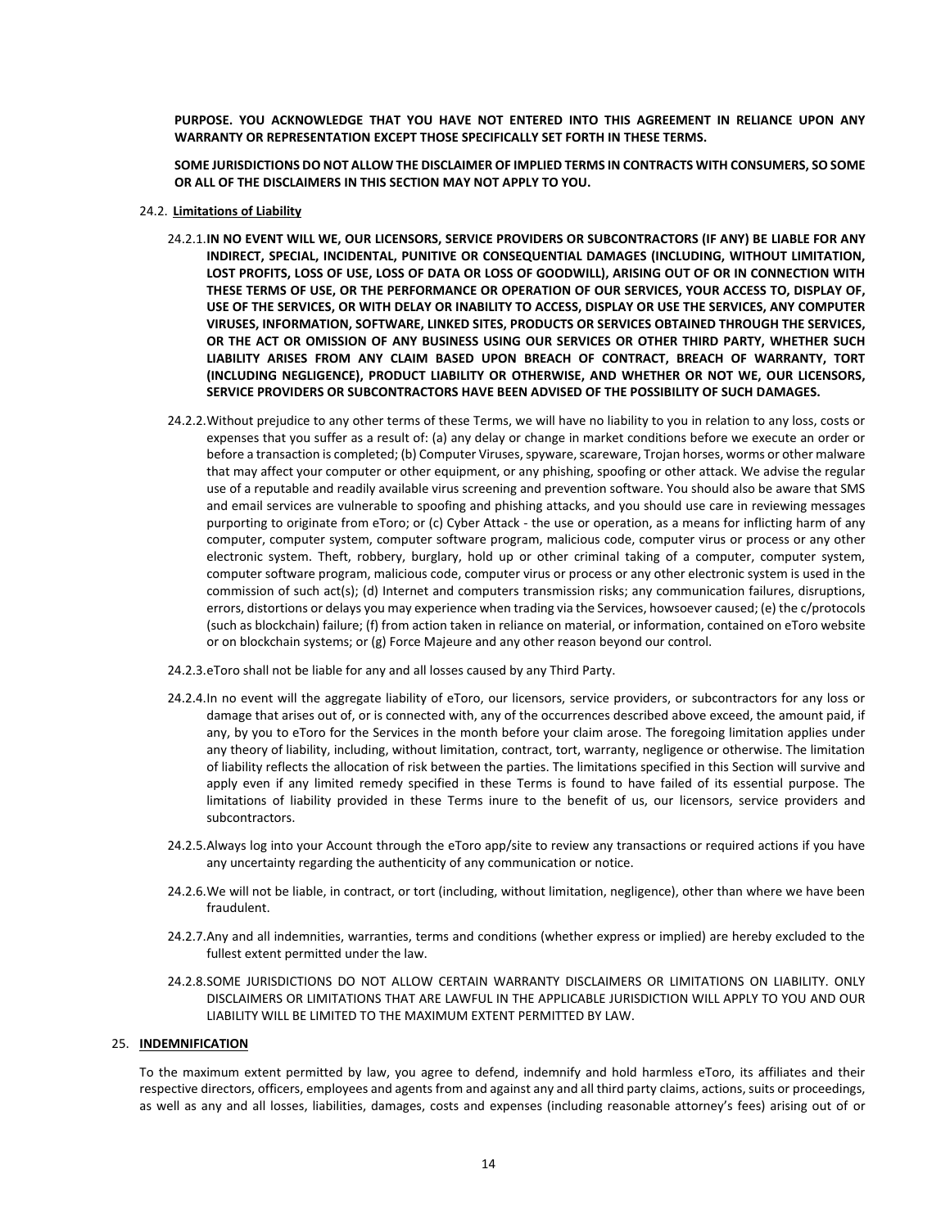**PURPOSE. YOU ACKNOWLEDGE THAT YOU HAVE NOT ENTERED INTO THIS AGREEMENT IN RELIANCE UPON ANY WARRANTY OR REPRESENTATION EXCEPT THOSE SPECIFICALLY SET FORTH IN THESE TERMS.** 

**SOME JURISDICTIONS DO NOT ALLOW THE DISCLAIMER OF IMPLIED TERMS IN CONTRACTS WITH CONSUMERS, SO SOME OR ALL OF THE DISCLAIMERS IN THIS SECTION MAY NOT APPLY TO YOU.**

- 24.2. **Limitations of Liability**
	- 24.2.1.**IN NO EVENT WILL WE, OUR LICENSORS, SERVICE PROVIDERS OR SUBCONTRACTORS (IF ANY) BE LIABLE FOR ANY INDIRECT, SPECIAL, INCIDENTAL, PUNITIVE OR CONSEQUENTIAL DAMAGES (INCLUDING, WITHOUT LIMITATION, LOST PROFITS, LOSS OF USE, LOSS OF DATA OR LOSS OF GOODWILL), ARISING OUT OF OR IN CONNECTION WITH THESE TERMS OF USE, OR THE PERFORMANCE OR OPERATION OF OUR SERVICES, YOUR ACCESS TO, DISPLAY OF, USE OF THE SERVICES, OR WITH DELAY OR INABILITY TO ACCESS, DISPLAY OR USE THE SERVICES, ANY COMPUTER VIRUSES, INFORMATION, SOFTWARE, LINKED SITES, PRODUCTS OR SERVICES OBTAINED THROUGH THE SERVICES, OR THE ACT OR OMISSION OF ANY BUSINESS USING OUR SERVICES OR OTHER THIRD PARTY, WHETHER SUCH LIABILITY ARISES FROM ANY CLAIM BASED UPON BREACH OF CONTRACT, BREACH OF WARRANTY, TORT (INCLUDING NEGLIGENCE), PRODUCT LIABILITY OR OTHERWISE, AND WHETHER OR NOT WE, OUR LICENSORS, SERVICE PROVIDERS OR SUBCONTRACTORS HAVE BEEN ADVISED OF THE POSSIBILITY OF SUCH DAMAGES.**
	- 24.2.2.Without prejudice to any other terms of these Terms, we will have no liability to you in relation to any loss, costs or expenses that you suffer as a result of: (a) any delay or change in market conditions before we execute an order or before a transaction is completed; (b) Computer Viruses, spyware, scareware, Trojan horses, worms or other malware that may affect your computer or other equipment, or any phishing, spoofing or other attack. We advise the regular use of a reputable and readily available virus screening and prevention software. You should also be aware that SMS and email services are vulnerable to spoofing and phishing attacks, and you should use care in reviewing messages purporting to originate from eToro; or (c) Cyber Attack - the use or operation, as a means for inflicting harm of any computer, computer system, computer software program, malicious code, computer virus or process or any other electronic system. Theft, robbery, burglary, hold up or other criminal taking of a computer, computer system, computer software program, malicious code, computer virus or process or any other electronic system is used in the commission of such act(s); (d) Internet and computers transmission risks; any communication failures, disruptions, errors, distortions or delays you may experience when trading via the Services, howsoever caused; (e) the c/protocols (such as blockchain) failure; (f) from action taken in reliance on material, or information, contained on eToro website or on blockchain systems; or (g) Force Majeure and any other reason beyond our control.
	- 24.2.3.eToro shall not be liable for any and all losses caused by any Third Party.
	- 24.2.4.In no event will the aggregate liability of eToro, our licensors, service providers, or subcontractors for any loss or damage that arises out of, or is connected with, any of the occurrences described above exceed, the amount paid, if any, by you to eToro for the Services in the month before your claim arose. The foregoing limitation applies under any theory of liability, including, without limitation, contract, tort, warranty, negligence or otherwise. The limitation of liability reflects the allocation of risk between the parties. The limitations specified in this Section will survive and apply even if any limited remedy specified in these Terms is found to have failed of its essential purpose. The limitations of liability provided in these Terms inure to the benefit of us, our licensors, service providers and subcontractors.
	- 24.2.5.Always log into your Account through the eToro app/site to review any transactions or required actions if you have any uncertainty regarding the authenticity of any communication or notice.
	- 24.2.6.We will not be liable, in contract, or tort (including, without limitation, negligence), other than where we have been fraudulent.
	- 24.2.7.Any and all indemnities, warranties, terms and conditions (whether express or implied) are hereby excluded to the fullest extent permitted under the law.
	- 24.2.8.SOME JURISDICTIONS DO NOT ALLOW CERTAIN WARRANTY DISCLAIMERS OR LIMITATIONS ON LIABILITY. ONLY DISCLAIMERS OR LIMITATIONS THAT ARE LAWFUL IN THE APPLICABLE JURISDICTION WILL APPLY TO YOU AND OUR LIABILITY WILL BE LIMITED TO THE MAXIMUM EXTENT PERMITTED BY LAW.

#### <span id="page-13-0"></span>25. **INDEMNIFICATION**

To the maximum extent permitted by law, you agree to defend, indemnify and hold harmless eToro, its affiliates and their respective directors, officers, employees and agents from and against any and all third party claims, actions, suits or proceedings, as well as any and all losses, liabilities, damages, costs and expenses (including reasonable attorney's fees) arising out of or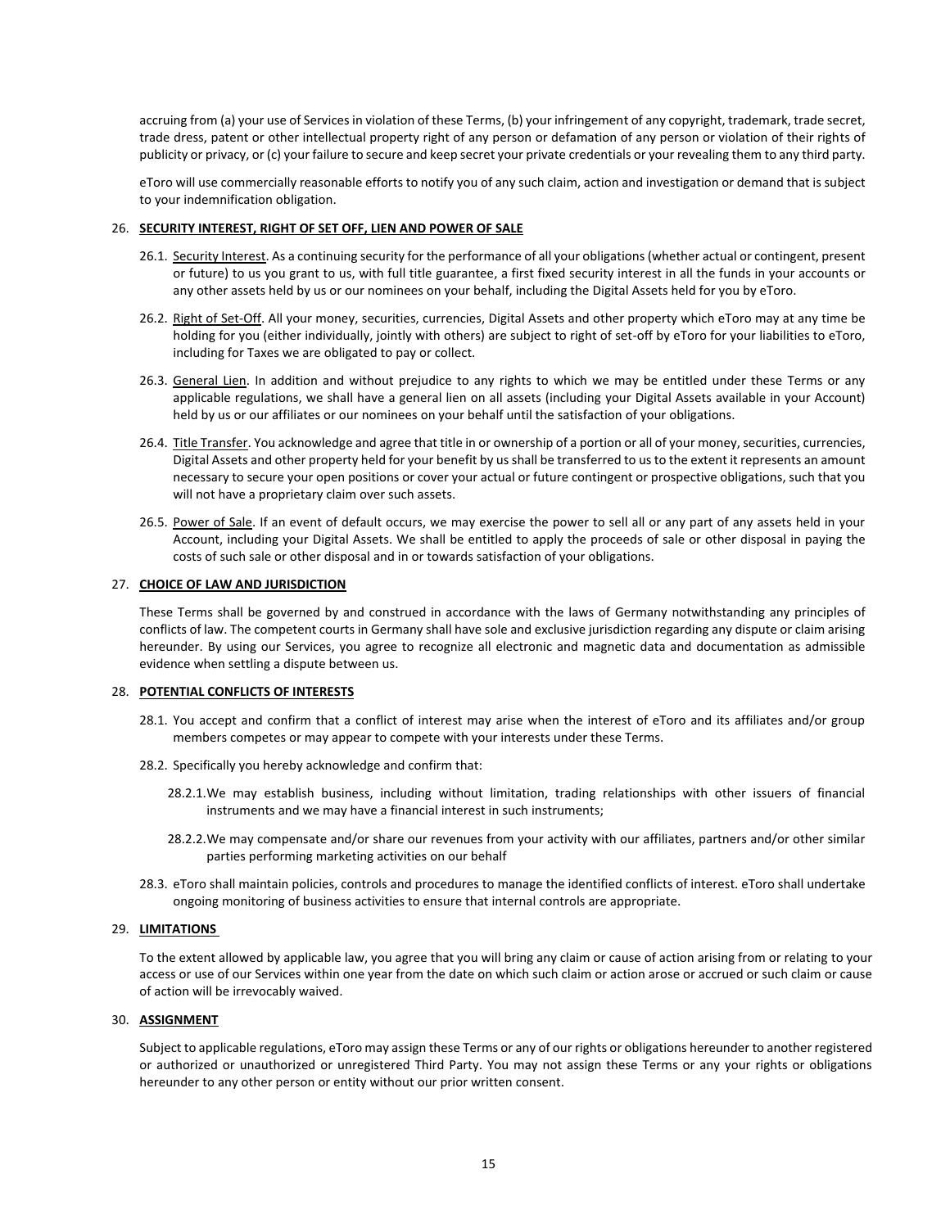accruing from (a) your use of Services in violation of these Terms, (b) your infringement of any copyright, trademark, trade secret, trade dress, patent or other intellectual property right of any person or defamation of any person or violation of their rights of publicity or privacy, or (c) your failure to secure and keep secret your private credentials or your revealing them to any third party.

eToro will use commercially reasonable efforts to notify you of any such claim, action and investigation or demand that is subject to your indemnification obligation.

#### <span id="page-14-1"></span>26. **SECURITY INTEREST, RIGHT OF SET OFF, LIEN AND POWER OF SALE**

- 26.1. Security Interest. As a continuing security for the performance of all your obligations (whether actual or contingent, present or future) to us you grant to us, with full title guarantee, a first fixed security interest in all the funds in your accounts or any other assets held by us or our nominees on your behalf, including the Digital Assets held for you by eToro.
- <span id="page-14-0"></span>26.2. Right of Set-Off. All your money, securities, currencies, Digital Assets and other property which eToro may at any time be holding for you (either individually, jointly with others) are subject to right of set-off by eToro for your liabilities to eToro, including for Taxes we are obligated to pay or collect.
- 26.3. General Lien. In addition and without prejudice to any rights to which we may be entitled under these Terms or any applicable regulations, we shall have a general lien on all assets (including your Digital Assets available in your Account) held by us or our affiliates or our nominees on your behalf until the satisfaction of your obligations.
- 26.4. Title Transfer. You acknowledge and agree that title in or ownership of a portion or all of your money, securities, currencies, Digital Assets and other property held for your benefit by us shall be transferred to us to the extent it represents an amount necessary to secure your open positions or cover your actual or future contingent or prospective obligations, such that you will not have a proprietary claim over such assets.
- 26.5. Power of Sale. If an event of default occurs, we may exercise the power to sell all or any part of any assets held in your Account, including your Digital Assets. We shall be entitled to apply the proceeds of sale or other disposal in paying the costs of such sale or other disposal and in or towards satisfaction of your obligations.

## <span id="page-14-2"></span>27. **CHOICE OF LAW AND JURISDICTION**

These Terms shall be governed by and construed in accordance with the laws of Germany notwithstanding any principles of conflicts of law. The competent courts in Germany shall have sole and exclusive jurisdiction regarding any dispute or claim arising hereunder. By using our Services, you agree to recognize all electronic and magnetic data and documentation as admissible evidence when settling a dispute between us.

## 28. **POTENTIAL CONFLICTS OF INTERESTS**

- 28.1. You accept and confirm that a conflict of interest may arise when the interest of eToro and its affiliates and/or group members competes or may appear to compete with your interests under these Terms.
- 28.2. Specifically you hereby acknowledge and confirm that:
	- 28.2.1.We may establish business, including without limitation, trading relationships with other issuers of financial instruments and we may have a financial interest in such instruments;
	- 28.2.2.We may compensate and/or share our revenues from your activity with our affiliates, partners and/or other similar parties performing marketing activities on our behalf
- 28.3. eToro shall maintain policies, controls and procedures to manage the identified conflicts of interest. eToro shall undertake ongoing monitoring of business activities to ensure that internal controls are appropriate.

# 29. **LIMITATIONS**

To the extent allowed by applicable law, you agree that you will bring any claim or cause of action arising from or relating to your access or use of our Services within one year from the date on which such claim or action arose or accrued or such claim or cause of action will be irrevocably waived.

## 30. **ASSIGNMENT**

Subject to applicable regulations, eToro may assign these Terms or any of our rights or obligations hereunder to another registered or authorized or unauthorized or unregistered Third Party. You may not assign these Terms or any your rights or obligations hereunder to any other person or entity without our prior written consent.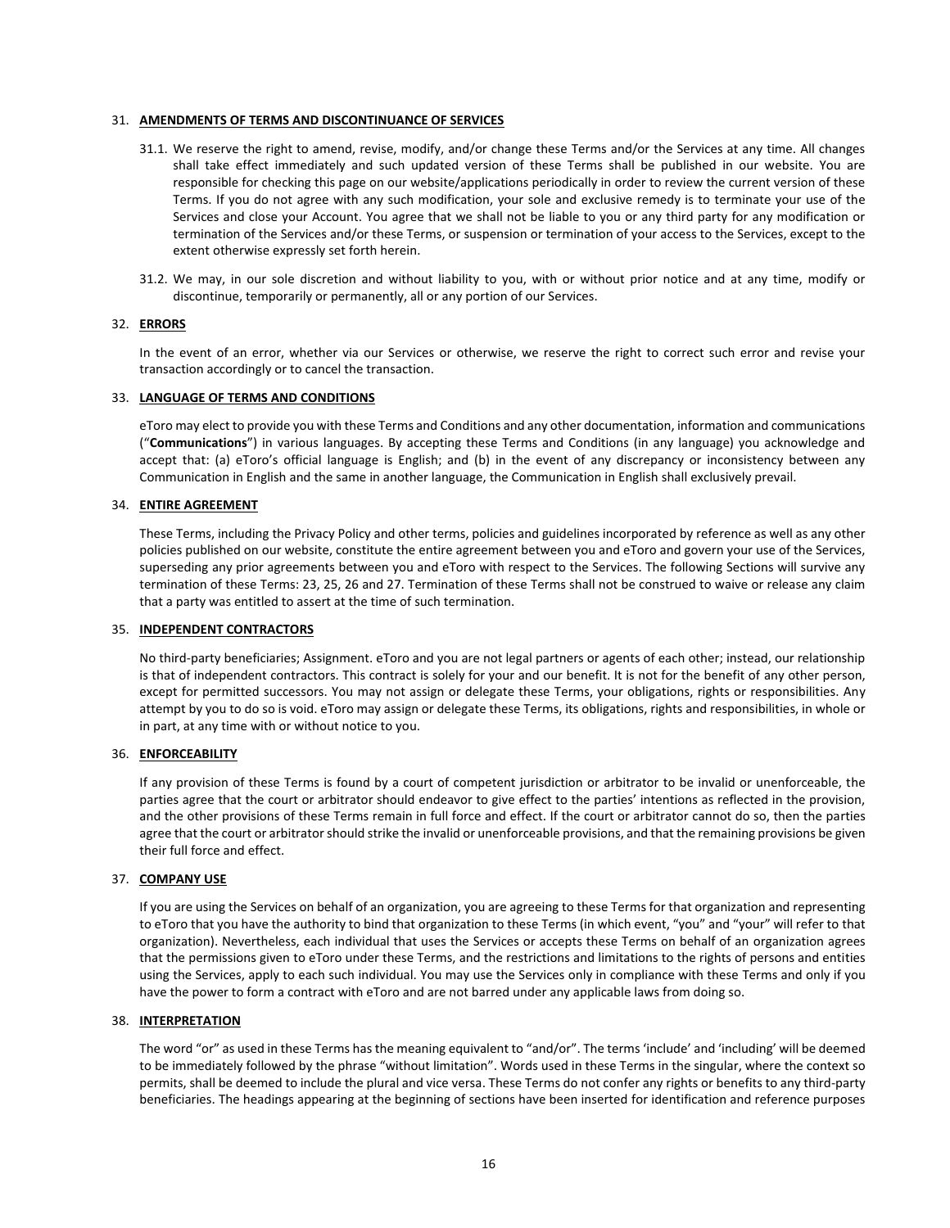## 31. **AMENDMENTS OF TERMS AND DISCONTINUANCE OF SERVICES**

- 31.1. We reserve the right to amend, revise, modify, and/or change these Terms and/or the Services at any time. All changes shall take effect immediately and such updated version of these Terms shall be published in our website. You are responsible for checking this page on our website/applications periodically in order to review the current version of these Terms. If you do not agree with any such modification, your sole and exclusive remedy is to terminate your use of the Services and close your Account. You agree that we shall not be liable to you or any third party for any modification or termination of the Services and/or these Terms, or suspension or termination of your access to the Services, except to the extent otherwise expressly set forth herein.
- 31.2. We may, in our sole discretion and without liability to you, with or without prior notice and at any time, modify or discontinue, temporarily or permanently, all or any portion of our Services.

# 32. **ERRORS**

In the event of an error, whether via our Services or otherwise, we reserve the right to correct such error and revise your transaction accordingly or to cancel the transaction.

#### 33. **LANGUAGE OF TERMS AND CONDITIONS**

eToro may elect to provide you with these Terms and Conditions and any other documentation, information and communications ("**Communications**") in various languages. By accepting these Terms and Conditions (in any language) you acknowledge and accept that: (a) eToro's official language is English; and (b) in the event of any discrepancy or inconsistency between any Communication in English and the same in another language, the Communication in English shall exclusively prevail.

## 34. **ENTIRE AGREEMENT**

These Terms, including the Privacy Policy and other terms, policies and guidelines incorporated by reference as well as any other policies published on our website, constitute the entire agreement between you and eToro and govern your use of the Services, superseding any prior agreements between you and eToro with respect to the Services. The following Sections will survive any termination of these Terms: [23,](#page-11-0) [25,](#page-13-0) [26](#page-14-1) an[d 27.](#page-14-2) Termination of these Terms shall not be construed to waive or release any claim that a party was entitled to assert at the time of such termination.

#### 35. **INDEPENDENT CONTRACTORS**

No third-party beneficiaries; Assignment. eToro and you are not legal partners or agents of each other; instead, our relationship is that of independent contractors. This contract is solely for your and our benefit. It is not for the benefit of any other person, except for permitted successors. You may not assign or delegate these Terms, your obligations, rights or responsibilities. Any attempt by you to do so is void. eToro may assign or delegate these Terms, its obligations, rights and responsibilities, in whole or in part, at any time with or without notice to you.

#### 36. **ENFORCEABILITY**

If any provision of these Terms is found by a court of competent jurisdiction or arbitrator to be invalid or unenforceable, the parties agree that the court or arbitrator should endeavor to give effect to the parties' intentions as reflected in the provision, and the other provisions of these Terms remain in full force and effect. If the court or arbitrator cannot do so, then the parties agree that the court or arbitrator should strike the invalid or unenforceable provisions, and that the remaining provisions be given their full force and effect.

#### 37. **COMPANY USE**

If you are using the Services on behalf of an organization, you are agreeing to these Terms for that organization and representing to eToro that you have the authority to bind that organization to these Terms (in which event, "you" and "your" will refer to that organization). Nevertheless, each individual that uses the Services or accepts these Terms on behalf of an organization agrees that the permissions given to eToro under these Terms, and the restrictions and limitations to the rights of persons and entities using the Services, apply to each such individual. You may use the Services only in compliance with these Terms and only if you have the power to form a contract with eToro and are not barred under any applicable laws from doing so.

#### 38. **INTERPRETATION**

The word "or" as used in these Terms has the meaning equivalent to "and/or". The terms 'include' and 'including' will be deemed to be immediately followed by the phrase "without limitation". Words used in these Terms in the singular, where the context so permits, shall be deemed to include the plural and vice versa. These Terms do not confer any rights or benefits to any third-party beneficiaries. The headings appearing at the beginning of sections have been inserted for identification and reference purposes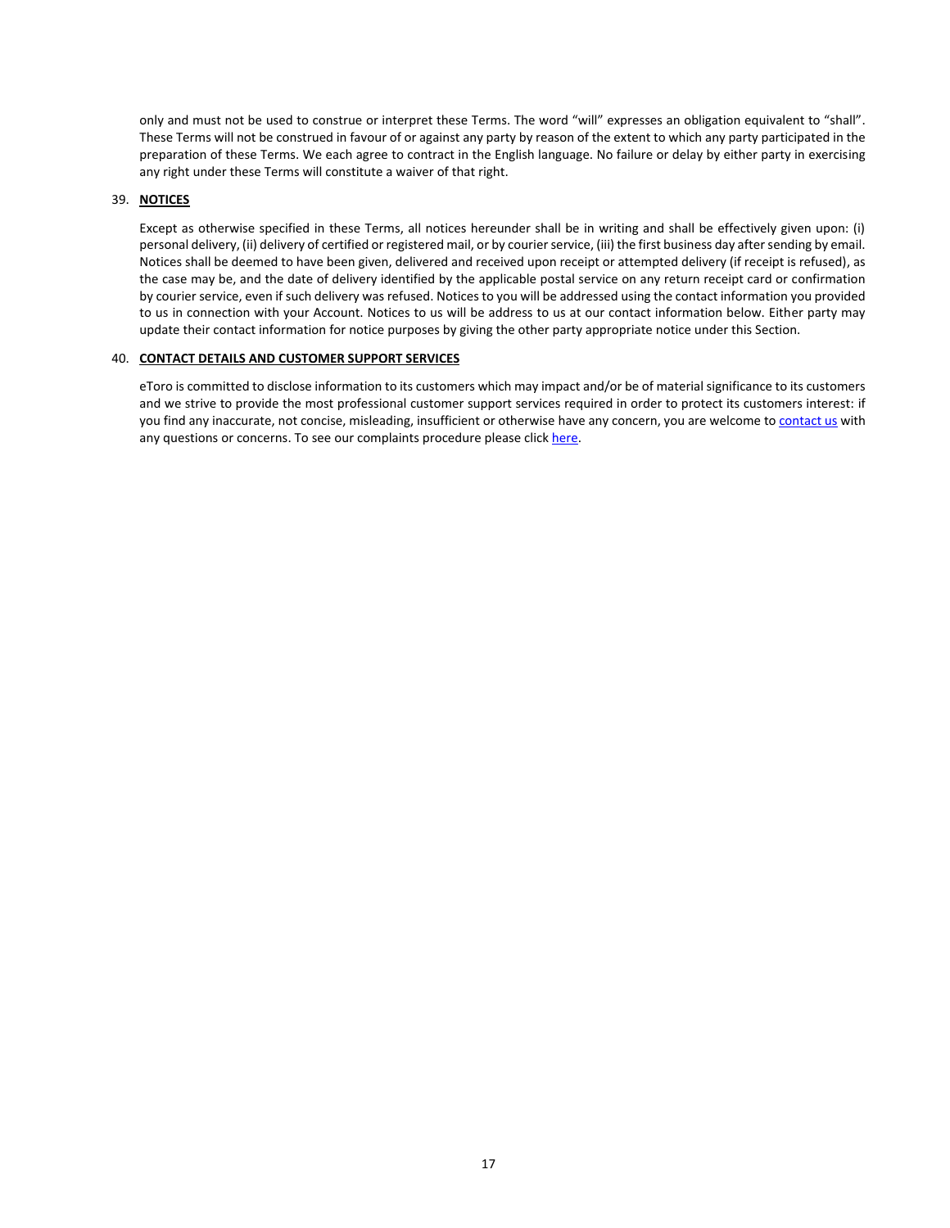only and must not be used to construe or interpret these Terms. The word "will" expresses an obligation equivalent to "shall". These Terms will not be construed in favour of or against any party by reason of the extent to which any party participated in the preparation of these Terms. We each agree to contract in the English language. No failure or delay by either party in exercising any right under these Terms will constitute a waiver of that right.

# 39. **NOTICES**

Except as otherwise specified in these Terms, all notices hereunder shall be in writing and shall be effectively given upon: (i) personal delivery, (ii) delivery of certified or registered mail, or by courier service, (iii) the first business day after sending by email. Notices shall be deemed to have been given, delivered and received upon receipt or attempted delivery (if receipt is refused), as the case may be, and the date of delivery identified by the applicable postal service on any return receipt card or confirmation by courier service, even if such delivery was refused. Notices to you will be addressed using the contact information you provided to us in connection with your Account. Notices to us will be address to us at our contact information below. Either party may update their contact information for notice purposes by giving the other party appropriate notice under this Section.

# 40. **CONTACT DETAILS AND CUSTOMER SUPPORT SERVICES**

eToro is committed to disclose information to its customers which may impact and/or be of material significance to its customers and we strive to provide the most professional customer support services required in order to protect its customers interest: if you find any inaccurate, not concise, misleading, insufficient or otherwise have any concern, you are welcome t[o contact us](https://www.etoro.com/customer-service) with any questions or concerns. To see our complaints procedure please click [here.](https://www.etoro.com/customer-service/?oc=true)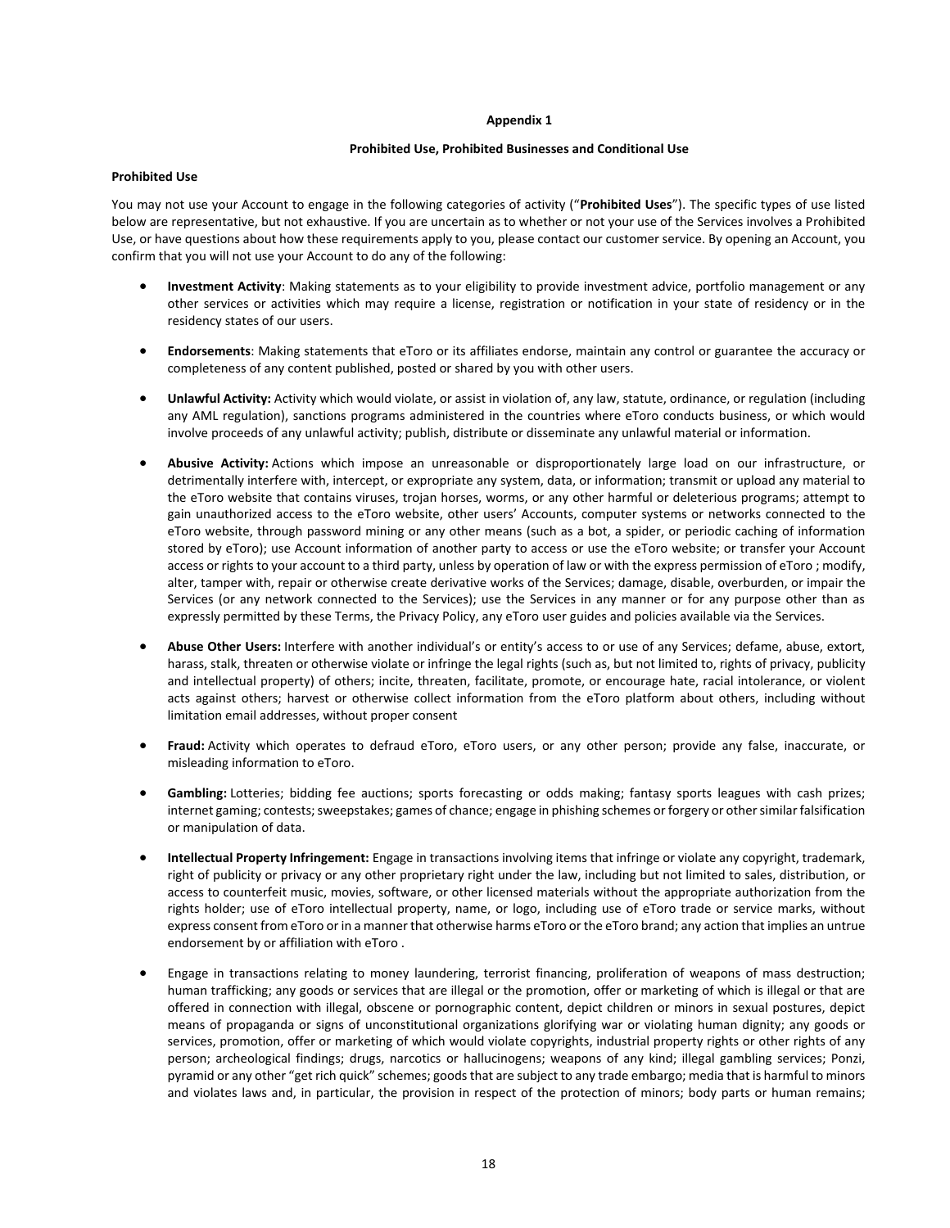#### **Appendix 1**

## **Prohibited Use, Prohibited Businesses and Conditional Use**

### **Prohibited Use**

You may not use your Account to engage in the following categories of activity ("**Prohibited Uses**"). The specific types of use listed below are representative, but not exhaustive. If you are uncertain as to whether or not your use of the Services involves a Prohibited Use, or have questions about how these requirements apply to you, please contact our customer service. By opening an Account, you confirm that you will not use your Account to do any of the following:

- **Investment Activity**: Making statements as to your eligibility to provide investment advice, portfolio management or any other services or activities which may require a license, registration or notification in your state of residency or in the residency states of our users.
- **Endorsements**: Making statements that eToro or its affiliates endorse, maintain any control or guarantee the accuracy or completeness of any content published, posted or shared by you with other users.
- **Unlawful Activity:** Activity which would violate, or assist in violation of, any law, statute, ordinance, or regulation (including any AML regulation), sanctions programs administered in the countries where eToro conducts business, or which would involve proceeds of any unlawful activity; publish, distribute or disseminate any unlawful material or information.
- **Abusive Activity:** Actions which impose an unreasonable or disproportionately large load on our infrastructure, or detrimentally interfere with, intercept, or expropriate any system, data, or information; transmit or upload any material to the eToro website that contains viruses, trojan horses, worms, or any other harmful or deleterious programs; attempt to gain unauthorized access to the eToro website, other users' Accounts, computer systems or networks connected to the eToro website, through password mining or any other means (such as a bot, a spider, or periodic caching of information stored by eToro); use Account information of another party to access or use the eToro website; or transfer your Account access or rights to your account to a third party, unless by operation of law or with the express permission of eToro ; modify, alter, tamper with, repair or otherwise create derivative works of the Services; damage, disable, overburden, or impair the Services (or any network connected to the Services); use the Services in any manner or for any purpose other than as expressly permitted by these Terms, the Privacy Policy, any eToro user guides and policies available via the Services.
- **Abuse Other Users:** Interfere with another individual's or entity's access to or use of any Services; defame, abuse, extort, harass, stalk, threaten or otherwise violate or infringe the legal rights (such as, but not limited to, rights of privacy, publicity and intellectual property) of others; incite, threaten, facilitate, promote, or encourage hate, racial intolerance, or violent acts against others; harvest or otherwise collect information from the eToro platform about others, including without limitation email addresses, without proper consent
- **Fraud:** Activity which operates to defraud eToro, eToro users, or any other person; provide any false, inaccurate, or misleading information to eToro.
- **Gambling:** Lotteries; bidding fee auctions; sports forecasting or odds making; fantasy sports leagues with cash prizes; internet gaming; contests; sweepstakes; games of chance; engage in phishing schemes or forgery or other similar falsification or manipulation of data.
- **Intellectual Property Infringement:** Engage in transactions involving items that infringe or violate any copyright, trademark, right of publicity or privacy or any other proprietary right under the law, including but not limited to sales, distribution, or access to counterfeit music, movies, software, or other licensed materials without the appropriate authorization from the rights holder; use of eToro intellectual property, name, or logo, including use of eToro trade or service marks, without express consent from eToro or in a manner that otherwise harms eToro or the eToro brand; any action that implies an untrue endorsement by or affiliation with eToro .
- Engage in transactions relating to money laundering, terrorist financing, proliferation of weapons of mass destruction; human trafficking; any goods or services that are illegal or the promotion, offer or marketing of which is illegal or that are offered in connection with illegal, obscene or pornographic content, depict children or minors in sexual postures, depict means of propaganda or signs of unconstitutional organizations glorifying war or violating human dignity; any goods or services, promotion, offer or marketing of which would violate copyrights, industrial property rights or other rights of any person; archeological findings; drugs, narcotics or hallucinogens; weapons of any kind; illegal gambling services; Ponzi, pyramid or any other "get rich quick" schemes; goods that are subject to any trade embargo; media that is harmful to minors and violates laws and, in particular, the provision in respect of the protection of minors; body parts or human remains;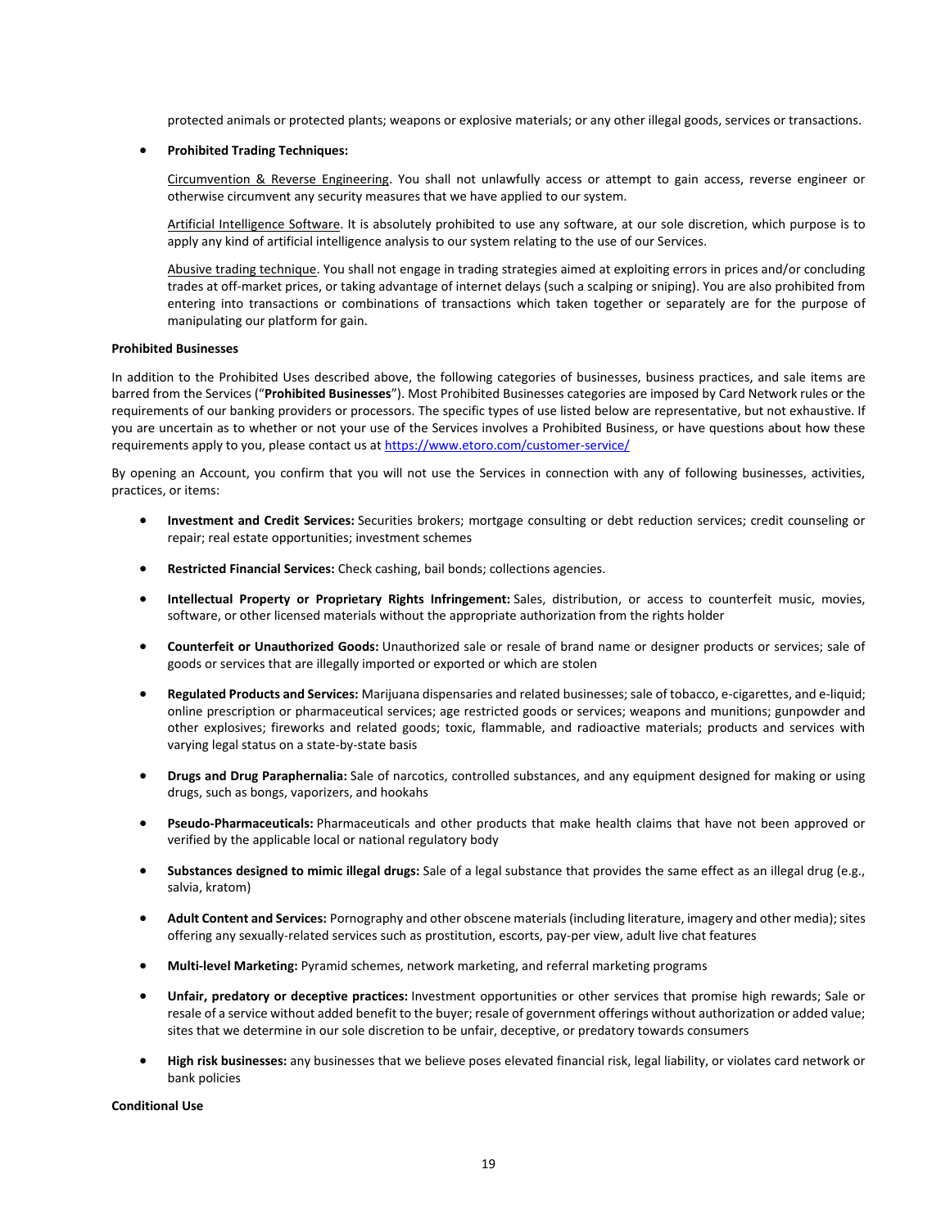protected animals or protected plants; weapons or explosive materials; or any other illegal goods, services or transactions.

## • **Prohibited Trading Techniques:**

Circumvention & Reverse Engineering. You shall not unlawfully access or attempt to gain access, reverse engineer or otherwise circumvent any security measures that we have applied to our system.

Artificial Intelligence Software. It is absolutely prohibited to use any software, at our sole discretion, which purpose is to apply any kind of artificial intelligence analysis to our system relating to the use of our Services.

Abusive trading technique. You shall not engage in trading strategies aimed at exploiting errors in prices and/or concluding trades at off-market prices, or taking advantage of internet delays (such a scalping or sniping). You are also prohibited from entering into transactions or combinations of transactions which taken together or separately are for the purpose of manipulating our platform for gain.

#### **Prohibited Businesses**

In addition to the Prohibited Uses described above, the following categories of businesses, business practices, and sale items are barred from the Services ("**Prohibited Businesses**"). Most Prohibited Businesses categories are imposed by Card Network rules or the requirements of our banking providers or processors. The specific types of use listed below are representative, but not exhaustive. If you are uncertain as to whether or not your use of the Services involves a Prohibited Business, or have questions about how these requirements apply to you, please contact us at <https://www.etoro.com/customer-service/>

By opening an Account, you confirm that you will not use the Services in connection with any of following businesses, activities, practices, or items:

- **Investment and Credit Services:** Securities brokers; mortgage consulting or debt reduction services; credit counseling or repair; real estate opportunities; investment schemes
- **Restricted Financial Services:** Check cashing, bail bonds; collections agencies.
- **Intellectual Property or Proprietary Rights Infringement:** Sales, distribution, or access to counterfeit music, movies, software, or other licensed materials without the appropriate authorization from the rights holder
- **Counterfeit or Unauthorized Goods:** Unauthorized sale or resale of brand name or designer products or services; sale of goods or services that are illegally imported or exported or which are stolen
- **Regulated Products and Services:** Marijuana dispensaries and related businesses; sale of tobacco, e-cigarettes, and e-liquid; online prescription or pharmaceutical services; age restricted goods or services; weapons and munitions; gunpowder and other explosives; fireworks and related goods; toxic, flammable, and radioactive materials; products and services with varying legal status on a state-by-state basis
- **Drugs and Drug Paraphernalia:** Sale of narcotics, controlled substances, and any equipment designed for making or using drugs, such as bongs, vaporizers, and hookahs
- **Pseudo-Pharmaceuticals:** Pharmaceuticals and other products that make health claims that have not been approved or verified by the applicable local or national regulatory body
- **Substances designed to mimic illegal drugs:** Sale of a legal substance that provides the same effect as an illegal drug (e.g., salvia, kratom)
- **Adult Content and Services:** Pornography and other obscene materials (including literature, imagery and other media); sites offering any sexually-related services such as prostitution, escorts, pay-per view, adult live chat features
- **Multi-level Marketing:** Pyramid schemes, network marketing, and referral marketing programs
- **Unfair, predatory or deceptive practices:** Investment opportunities or other services that promise high rewards; Sale or resale of a service without added benefit to the buyer; resale of government offerings without authorization or added value; sites that we determine in our sole discretion to be unfair, deceptive, or predatory towards consumers
- **High risk businesses:** any businesses that we believe poses elevated financial risk, legal liability, or violates card network or bank policies

**Conditional Use**